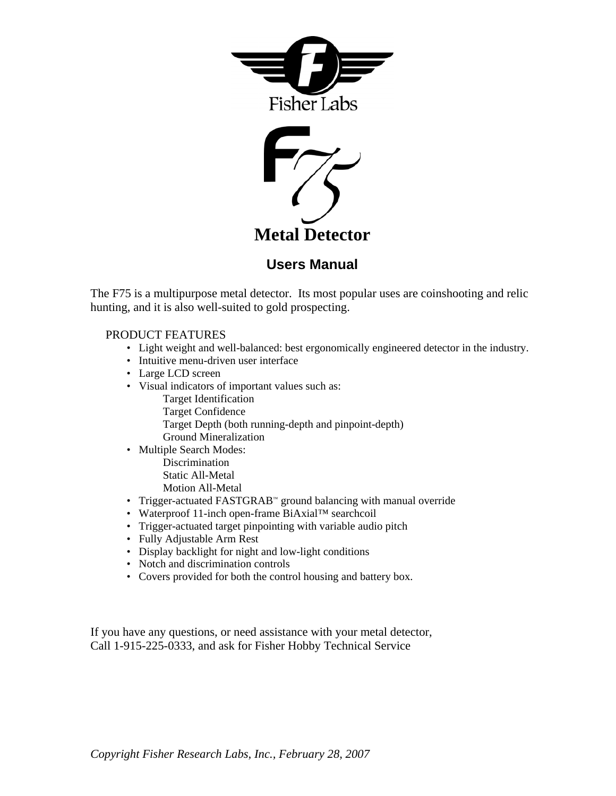



#### **Users Manual**

The F75 is a multipurpose metal detector. Its most popular uses are coinshooting and relic hunting, and it is also well-suited to gold prospecting.

#### PRODUCT FEATURES

- Light weight and well-balanced: best ergonomically engineered detector in the industry.
- Intuitive menu-driven user interface
- Large LCD screen
- Visual indicators of important values such as:
	- Target Identification
	- Target Confidence
	- Target Depth (both running-depth and pinpoint-depth) Ground Mineralization
- Multiple Search Modes: Discrimination Static All-Metal Motion All-Metal
- Trigger-actuated FASTGRAB™ ground balancing with manual override
- Waterproof 11-inch open-frame BiAxial™ searchcoil
- Trigger-actuated target pinpointing with variable audio pitch
- Fully Adjustable Arm Rest
- Display backlight for night and low-light conditions
- Notch and discrimination controls
- Covers provided for both the control housing and battery box.

If you have any questions, or need assistance with your metal detector, Call 1-915-225-0333, and ask for Fisher Hobby Technical Service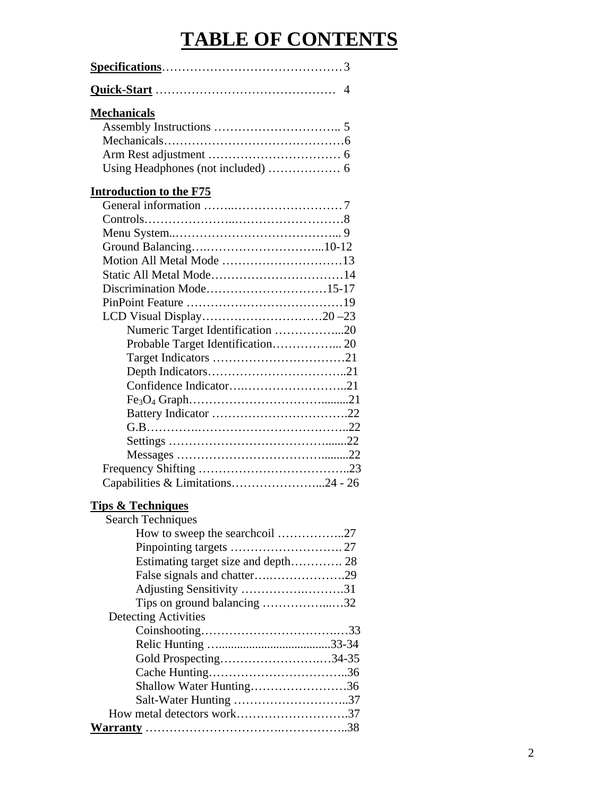## **TABLE OF CONTENTS**

#### **Mechanicals**

#### **Introduction to the F75**

| Numeric Target Identification 20  |  |
|-----------------------------------|--|
|                                   |  |
|                                   |  |
|                                   |  |
|                                   |  |
|                                   |  |
|                                   |  |
|                                   |  |
|                                   |  |
|                                   |  |
|                                   |  |
| Capabilities & Limitations24 - 26 |  |
|                                   |  |

### **Tips & Techniques**

| <b>Search Techniques</b>    |  |  |
|-----------------------------|--|--|
|                             |  |  |
|                             |  |  |
|                             |  |  |
|                             |  |  |
| Adjusting Sensitivity 31    |  |  |
| Tips on ground balancing 32 |  |  |
| <b>Detecting Activities</b> |  |  |
|                             |  |  |
|                             |  |  |
| Gold Prospecting34-35       |  |  |
|                             |  |  |
| Shallow Water Hunting36     |  |  |
| Salt-Water Hunting 37       |  |  |
|                             |  |  |
|                             |  |  |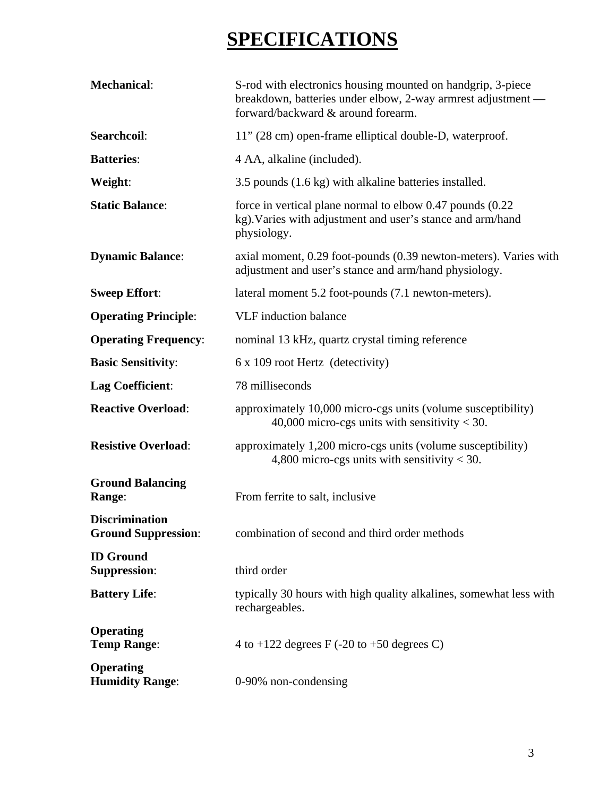# **SPECIFICATIONS**

| <b>Mechanical:</b>                                  | S-rod with electronics housing mounted on handgrip, 3-piece<br>breakdown, batteries under elbow, 2-way armrest adjustment —<br>forward/backward & around forearm. |
|-----------------------------------------------------|-------------------------------------------------------------------------------------------------------------------------------------------------------------------|
| Searchcoil:                                         | 11" (28 cm) open-frame elliptical double-D, waterproof.                                                                                                           |
| <b>Batteries:</b>                                   | 4 AA, alkaline (included).                                                                                                                                        |
| Weight:                                             | 3.5 pounds (1.6 kg) with alkaline batteries installed.                                                                                                            |
| <b>Static Balance:</b>                              | force in vertical plane normal to elbow $0.47$ pounds $(0.22)$<br>kg). Varies with adjustment and user's stance and arm/hand<br>physiology.                       |
| <b>Dynamic Balance:</b>                             | axial moment, 0.29 foot-pounds (0.39 newton-meters). Varies with<br>adjustment and user's stance and arm/hand physiology.                                         |
| <b>Sweep Effort:</b>                                | lateral moment 5.2 foot-pounds (7.1 newton-meters).                                                                                                               |
| <b>Operating Principle:</b>                         | <b>VLF</b> induction balance                                                                                                                                      |
| <b>Operating Frequency:</b>                         | nominal 13 kHz, quartz crystal timing reference                                                                                                                   |
| <b>Basic Sensitivity:</b>                           | 6 x 109 root Hertz (detectivity)                                                                                                                                  |
| <b>Lag Coefficient:</b>                             | 78 milliseconds                                                                                                                                                   |
| <b>Reactive Overload:</b>                           | approximately 10,000 micro-cgs units (volume susceptibility)<br>40,000 micro-cgs units with sensitivity $<$ 30.                                                   |
| <b>Resistive Overload:</b>                          | approximately 1,200 micro-cgs units (volume susceptibility)<br>4,800 micro-cgs units with sensitivity $<$ 30.                                                     |
| <b>Ground Balancing</b><br>Range:                   | From ferrite to salt, inclusive                                                                                                                                   |
| <b>Discrimination</b><br><b>Ground Suppression:</b> | combination of second and third order methods                                                                                                                     |
| <b>ID</b> Ground<br><b>Suppression:</b>             | third order                                                                                                                                                       |
| <b>Battery Life:</b>                                | typically 30 hours with high quality alkalines, somewhat less with<br>rechargeables.                                                                              |
| <b>Operating</b><br><b>Temp Range:</b>              | 4 to +122 degrees F $(-20 \text{ to } +50 \text{ degrees C})$                                                                                                     |
| <b>Operating</b><br><b>Humidity Range:</b>          | 0-90% non-condensing                                                                                                                                              |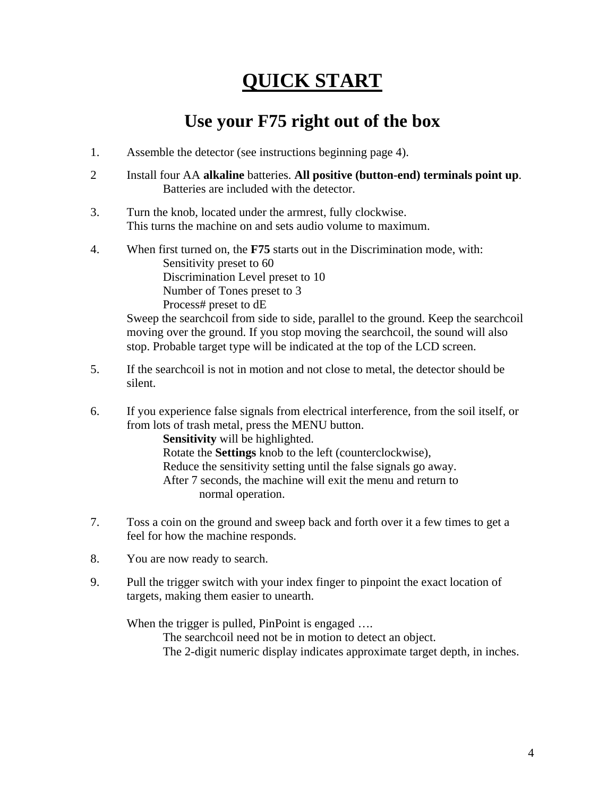## **QUICK START**

### **Use your F75 right out of the box**

- 1. Assemble the detector (see instructions beginning page 4).
- 2 Install four AA **alkaline** batteries. **All positive (button-end) terminals point up**. Batteries are included with the detector.
- 3. Turn the knob, located under the armrest, fully clockwise. This turns the machine on and sets audio volume to maximum.
- 4. When first turned on, the **F75** starts out in the Discrimination mode, with: Sensitivity preset to 60 Discrimination Level preset to 10 Number of Tones preset to 3 Process# preset to dE

 Sweep the searchcoil from side to side, parallel to the ground. Keep the searchcoil moving over the ground. If you stop moving the searchcoil, the sound will also stop. Probable target type will be indicated at the top of the LCD screen.

- 5. If the searchcoil is not in motion and not close to metal, the detector should be silent.
- 6. If you experience false signals from electrical interference, from the soil itself, or from lots of trash metal, press the MENU button.

**Sensitivity** will be highlighted.

 Rotate the **Settings** knob to the left (counterclockwise), Reduce the sensitivity setting until the false signals go away. After 7 seconds, the machine will exit the menu and return to normal operation.

- 7. Toss a coin on the ground and sweep back and forth over it a few times to get a feel for how the machine responds.
- 8. You are now ready to search.
- 9. Pull the trigger switch with your index finger to pinpoint the exact location of targets, making them easier to unearth.

When the trigger is pulled, PinPoint is engaged ....

The searchcoil need not be in motion to detect an object.

The 2-digit numeric display indicates approximate target depth, in inches.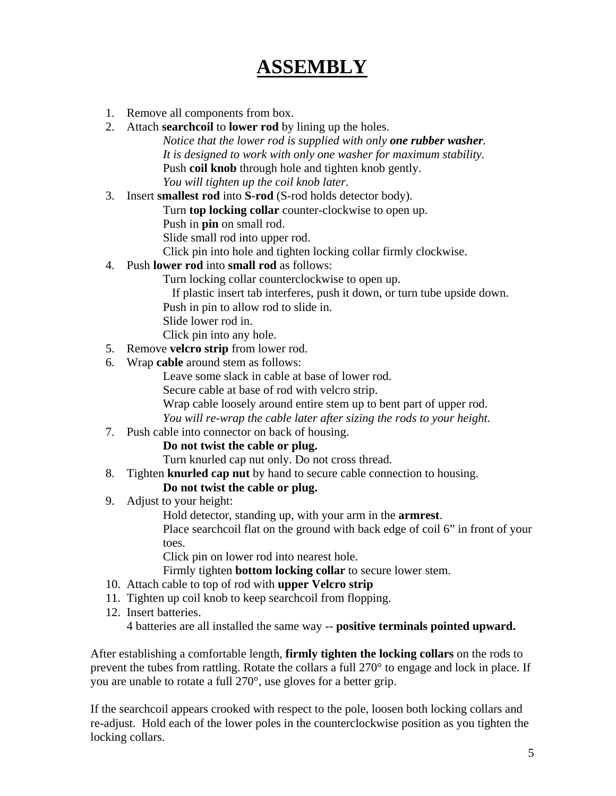## **ASSEMBLY**

- 1. Remove all components from box.
- 2. Attach **searchcoil** to **lower rod** by lining up the holes. *Notice that the lower rod is supplied with only one rubber washer. It is designed to work with only one washer for maximum stability.*  Push **coil knob** through hole and tighten knob gently. *You will tighten up the coil knob later*.
- 3. Insert **smallest rod** into **S**-**rod** (S-rod holds detector body).

Turn **top locking collar** counter-clockwise to open up.

Push in **pin** on small rod.

Slide small rod into upper rod.

Click pin into hole and tighten locking collar firmly clockwise.

4. Push **lower rod** into **small rod** as follows:

Turn locking collar counterclockwise to open up.

If plastic insert tab interferes, push it down, or turn tube upside down.

- Push in pin to allow rod to slide in.
- Slide lower rod in.

Click pin into any hole.

- 5. Remove **velcro strip** from lower rod.
- 6. Wrap **cable** around stem as follows:

Leave some slack in cable at base of lower rod.

Secure cable at base of rod with velcro strip.

Wrap cable loosely around entire stem up to bent part of upper rod.

*You will re-wrap the cable later after sizing the rods to your height.*

7. Push cable into connector on back of housing.

#### **Do not twist the cable or plug.**

Turn knurled cap nut only. Do not cross thread.

8. Tighten **knurled cap nut** by hand to secure cable connection to housing.

#### **Do not twist the cable or plug.**

9. Adjust to your height:

Hold detector, standing up, with your arm in the **armrest**.

Place searchcoil flat on the ground with back edge of coil 6" in front of your toes.

Click pin on lower rod into nearest hole.

Firmly tighten **bottom locking collar** to secure lower stem.

- 10. Attach cable to top of rod with **upper Velcro strip**
- 11. Tighten up coil knob to keep searchcoil from flopping.
- 12. Insert batteries.

4 batteries are all installed the same way -- **positive terminals pointed upward.**

After establishing a comfortable length, **firmly tighten the locking collars** on the rods to prevent the tubes from rattling. Rotate the collars a full 270° to engage and lock in place. If you are unable to rotate a full 270°, use gloves for a better grip.

If the searchcoil appears crooked with respect to the pole, loosen both locking collars and re-adjust. Hold each of the lower poles in the counterclockwise position as you tighten the locking collars.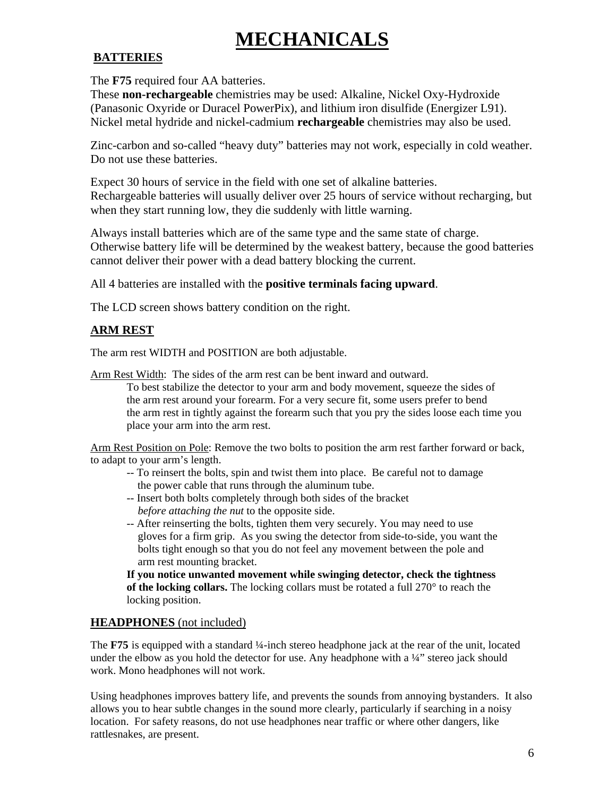## **MECHANICALS**

#### **BATTERIES**

The **F75** required four AA batteries.

These **non-rechargeable** chemistries may be used: Alkaline, Nickel Oxy-Hydroxide (Panasonic Oxyride or Duracel PowerPix), and lithium iron disulfide (Energizer L91). Nickel metal hydride and nickel-cadmium **rechargeable** chemistries may also be used.

Zinc-carbon and so-called "heavy duty" batteries may not work, especially in cold weather. Do not use these batteries.

Expect 30 hours of service in the field with one set of alkaline batteries. Rechargeable batteries will usually deliver over 25 hours of service without recharging, but when they start running low, they die suddenly with little warning.

Always install batteries which are of the same type and the same state of charge. Otherwise battery life will be determined by the weakest battery, because the good batteries cannot deliver their power with a dead battery blocking the current.

All 4 batteries are installed with the **positive terminals facing upward**.

The LCD screen shows battery condition on the right.

#### **ARM REST**

The arm rest WIDTH and POSITION are both adjustable.

Arm Rest Width: The sides of the arm rest can be bent inward and outward.

 To best stabilize the detector to your arm and body movement, squeeze the sides of the arm rest around your forearm. For a very secure fit, some users prefer to bend the arm rest in tightly against the forearm such that you pry the sides loose each time you place your arm into the arm rest.

Arm Rest Position on Pole: Remove the two bolts to position the arm rest farther forward or back, to adapt to your arm's length.

- -- To reinsert the bolts, spin and twist them into place. Be careful not to damage the power cable that runs through the aluminum tube.
- -- Insert both bolts completely through both sides of the bracket *before attaching the nut* to the opposite side.
- -- After reinserting the bolts, tighten them very securely. You may need to use gloves for a firm grip. As you swing the detector from side-to-side, you want the bolts tight enough so that you do not feel any movement between the pole and arm rest mounting bracket.

**If you notice unwanted movement while swinging detector, check the tightness of the locking collars.** The locking collars must be rotated a full 270° to reach the locking position.

#### **HEADPHONES** (not included)

The **F75** is equipped with a standard ¼-inch stereo headphone jack at the rear of the unit, located under the elbow as you hold the detector for use. Any headphone with a  $\frac{1}{4}$  stereo jack should work. Mono headphones will not work.

Using headphones improves battery life, and prevents the sounds from annoying bystanders. It also allows you to hear subtle changes in the sound more clearly, particularly if searching in a noisy location. For safety reasons, do not use headphones near traffic or where other dangers, like rattlesnakes, are present.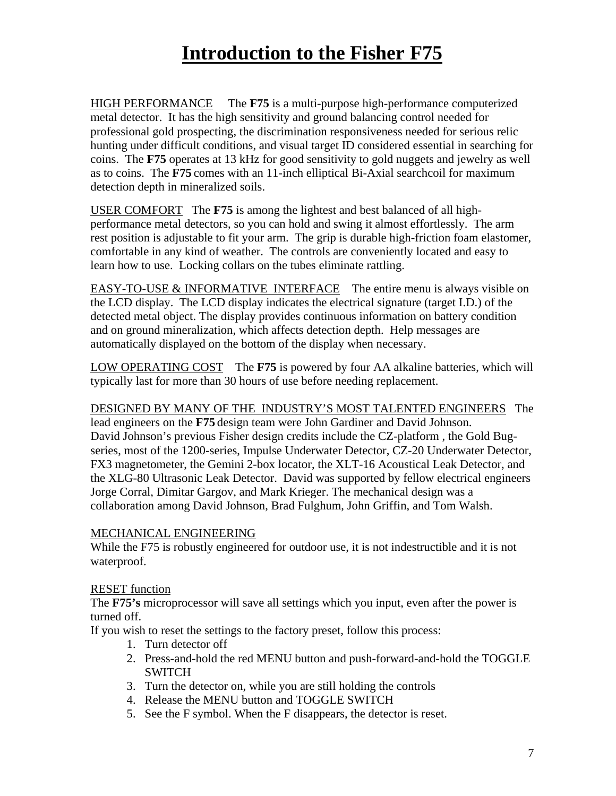## **Introduction to the Fisher F75**

HIGH PERFORMANCE The **F75** is a multi-purpose high-performance computerized metal detector. It has the high sensitivity and ground balancing control needed for professional gold prospecting, the discrimination responsiveness needed for serious relic hunting under difficult conditions, and visual target ID considered essential in searching for coins. The **F75** operates at 13 kHz for good sensitivity to gold nuggets and jewelry as well as to coins. The **F75** comes with an 11-inch elliptical Bi-Axial searchcoil for maximum detection depth in mineralized soils.

USER COMFORT The **F75** is among the lightest and best balanced of all highperformance metal detectors, so you can hold and swing it almost effortlessly. The arm rest position is adjustable to fit your arm. The grip is durable high-friction foam elastomer, comfortable in any kind of weather. The controls are conveniently located and easy to learn how to use. Locking collars on the tubes eliminate rattling.

EASY-TO-USE & INFORMATIVE INTERFACE The entire menu is always visible on the LCD display. The LCD display indicates the electrical signature (target I.D.) of the detected metal object. The display provides continuous information on battery condition and on ground mineralization, which affects detection depth. Help messages are automatically displayed on the bottom of the display when necessary.

LOW OPERATING COST The **F75** is powered by four AA alkaline batteries, which will typically last for more than 30 hours of use before needing replacement.

#### DESIGNED BY MANY OF THE INDUSTRY'S MOST TALENTED ENGINEERS The

lead engineers on the **F75** design team were John Gardiner and David Johnson. David Johnson's previous Fisher design credits include the CZ-platform , the Gold Bugseries, most of the 1200-series, Impulse Underwater Detector, CZ-20 Underwater Detector, FX3 magnetometer, the Gemini 2-box locator, the XLT-16 Acoustical Leak Detector, and the XLG-80 Ultrasonic Leak Detector. David was supported by fellow electrical engineers Jorge Corral, Dimitar Gargov, and Mark Krieger. The mechanical design was a collaboration among David Johnson, Brad Fulghum, John Griffin, and Tom Walsh.

#### MECHANICAL ENGINEERING

While the F75 is robustly engineered for outdoor use, it is not indestructible and it is not waterproof.

#### RESET function

The **F75's** microprocessor will save all settings which you input, even after the power is turned off.

If you wish to reset the settings to the factory preset, follow this process:

- 1. Turn detector off
- 2. Press-and-hold the red MENU button and push-forward-and-hold the TOGGLE SWITCH
- 3. Turn the detector on, while you are still holding the controls
- 4. Release the MENU button and TOGGLE SWITCH
- 5. See the F symbol. When the F disappears, the detector is reset.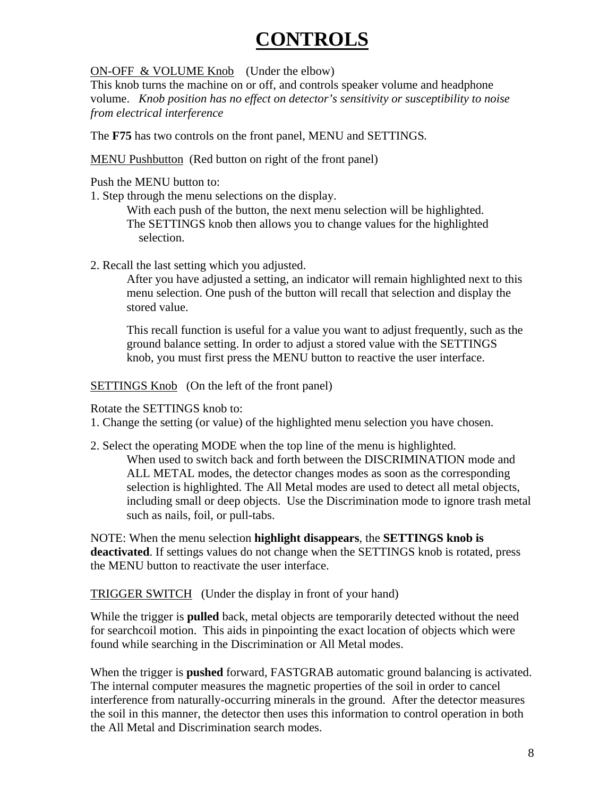## **CONTROLS**

ON-OFF & VOLUME Knob (Under the elbow)

This knob turns the machine on or off, and controls speaker volume and headphone volume. *Knob position has no effect on detector's sensitivity or susceptibility to noise from electrical interference* 

The **F75** has two controls on the front panel, MENU and SETTINGS*.* 

MENU Pushbutton (Red button on right of the front panel)

Push the MENU button to:

1. Step through the menu selections on the display.

 With each push of the button, the next menu selection will be highlighted. The SETTINGS knob then allows you to change values for the highlighted selection.

2. Recall the last setting which you adjusted.

 After you have adjusted a setting, an indicator will remain highlighted next to this menu selection. One push of the button will recall that selection and display the stored value.

 This recall function is useful for a value you want to adjust frequently, such as the ground balance setting. In order to adjust a stored value with the SETTINGS knob, you must first press the MENU button to reactive the user interface.

SETTINGS Knob (On the left of the front panel)

Rotate the SETTINGS knob to:

1. Change the setting (or value) of the highlighted menu selection you have chosen.

2. Select the operating MODE when the top line of the menu is highlighted. When used to switch back and forth between the DISCRIMINATION mode and ALL METAL modes, the detector changes modes as soon as the corresponding selection is highlighted. The All Metal modes are used to detect all metal objects, including small or deep objects. Use the Discrimination mode to ignore trash metal such as nails, foil, or pull-tabs.

NOTE: When the menu selection **highlight disappears**, the **SETTINGS knob is deactivated**. If settings values do not change when the SETTINGS knob is rotated, press the MENU button to reactivate the user interface.

TRIGGER SWITCH (Under the display in front of your hand)

While the trigger is **pulled** back, metal objects are temporarily detected without the need for searchcoil motion. This aids in pinpointing the exact location of objects which were found while searching in the Discrimination or All Metal modes.

When the trigger is **pushed** forward, FASTGRAB automatic ground balancing is activated. The internal computer measures the magnetic properties of the soil in order to cancel interference from naturally-occurring minerals in the ground. After the detector measures the soil in this manner, the detector then uses this information to control operation in both the All Metal and Discrimination search modes.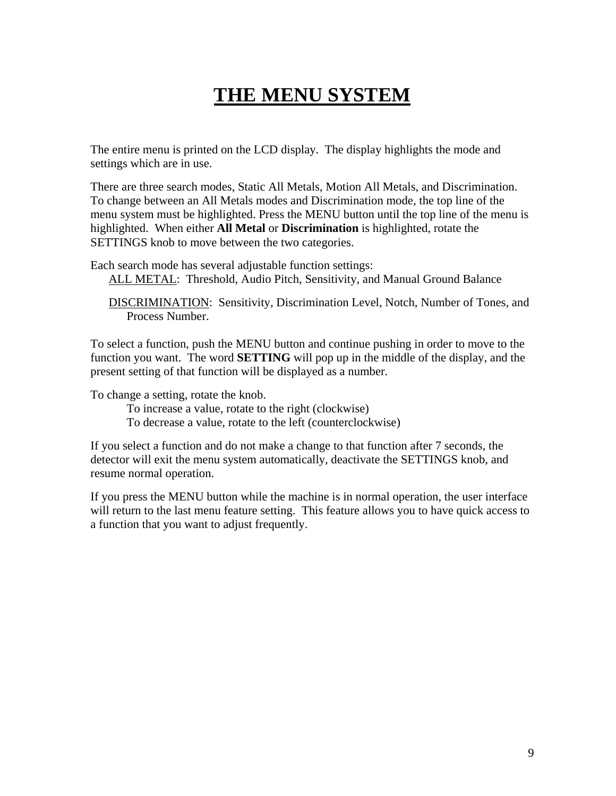## **THE MENU SYSTEM**

The entire menu is printed on the LCD display. The display highlights the mode and settings which are in use.

There are three search modes, Static All Metals, Motion All Metals, and Discrimination. To change between an All Metals modes and Discrimination mode, the top line of the menu system must be highlighted. Press the MENU button until the top line of the menu is highlighted. When either **All Metal** or **Discrimination** is highlighted, rotate the SETTINGS knob to move between the two categories.

Each search mode has several adjustable function settings:

ALL METAL: Threshold, Audio Pitch, Sensitivity, and Manual Ground Balance

 DISCRIMINATION: Sensitivity, Discrimination Level, Notch, Number of Tones, and Process Number.

To select a function, push the MENU button and continue pushing in order to move to the function you want. The word **SETTING** will pop up in the middle of the display, and the present setting of that function will be displayed as a number.

To change a setting, rotate the knob.

 To increase a value, rotate to the right (clockwise) To decrease a value, rotate to the left (counterclockwise)

If you select a function and do not make a change to that function after 7 seconds, the detector will exit the menu system automatically, deactivate the SETTINGS knob, and resume normal operation.

If you press the MENU button while the machine is in normal operation, the user interface will return to the last menu feature setting. This feature allows you to have quick access to a function that you want to adjust frequently.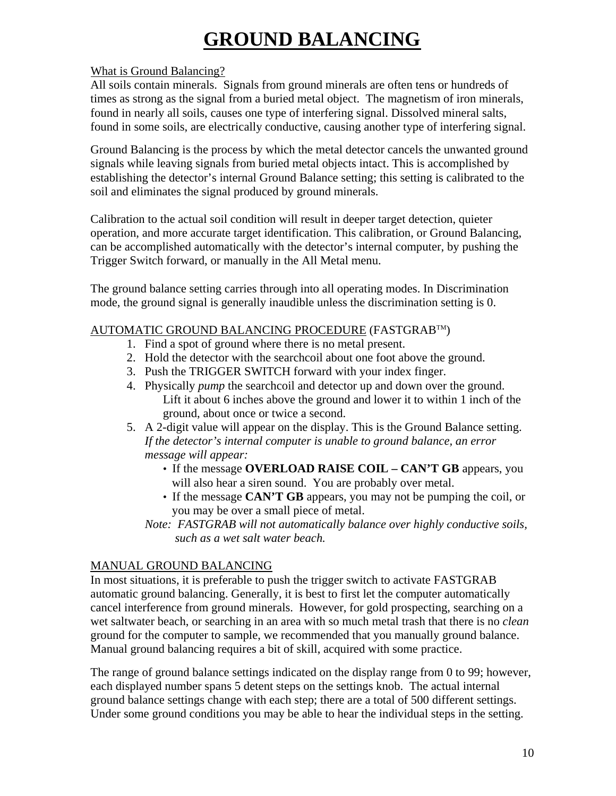## **GROUND BALANCING**

#### What is Ground Balancing?

All soils contain minerals. Signals from ground minerals are often tens or hundreds of times as strong as the signal from a buried metal object. The magnetism of iron minerals, found in nearly all soils, causes one type of interfering signal. Dissolved mineral salts, found in some soils, are electrically conductive, causing another type of interfering signal.

Ground Balancing is the process by which the metal detector cancels the unwanted ground signals while leaving signals from buried metal objects intact. This is accomplished by establishing the detector's internal Ground Balance setting; this setting is calibrated to the soil and eliminates the signal produced by ground minerals.

Calibration to the actual soil condition will result in deeper target detection, quieter operation, and more accurate target identification. This calibration, or Ground Balancing, can be accomplished automatically with the detector's internal computer, by pushing the Trigger Switch forward, or manually in the All Metal menu.

The ground balance setting carries through into all operating modes. In Discrimination mode, the ground signal is generally inaudible unless the discrimination setting is 0.

#### AUTOMATIC GROUND BALANCING PROCEDURE (FASTGRABTM)

- 1. Find a spot of ground where there is no metal present.
- 2. Hold the detector with the searchcoil about one foot above the ground.
- 3. Push the TRIGGER SWITCH forward with your index finger.
- 4. Physically *pump* the searchcoil and detector up and down over the ground. Lift it about 6 inches above the ground and lower it to within 1 inch of the ground, about once or twice a second.
- 5. A 2-digit value will appear on the display. This is the Ground Balance setting.  *If the detector's internal computer is unable to ground balance, an error message will appear:* 
	- If the message **OVERLOAD RAISE COIL CAN'T GB** appears, you will also hear a siren sound.You are probably over metal.
	- If the message **CAN'T GB** appears, you may not be pumping the coil, or you may be over a small piece of metal.
	- *Note: FASTGRAB will not automatically balance over highly conductive soils, such as a wet salt water beach.*

#### MANUAL GROUND BALANCING

In most situations, it is preferable to push the trigger switch to activate FASTGRAB automatic ground balancing. Generally, it is best to first let the computer automatically cancel interference from ground minerals. However, for gold prospecting, searching on a wet saltwater beach, or searching in an area with so much metal trash that there is no *clean* ground for the computer to sample, we recommended that you manually ground balance. Manual ground balancing requires a bit of skill, acquired with some practice.

The range of ground balance settings indicated on the display range from 0 to 99; however, each displayed number spans 5 detent steps on the settings knob. The actual internal ground balance settings change with each step; there are a total of 500 different settings. Under some ground conditions you may be able to hear the individual steps in the setting.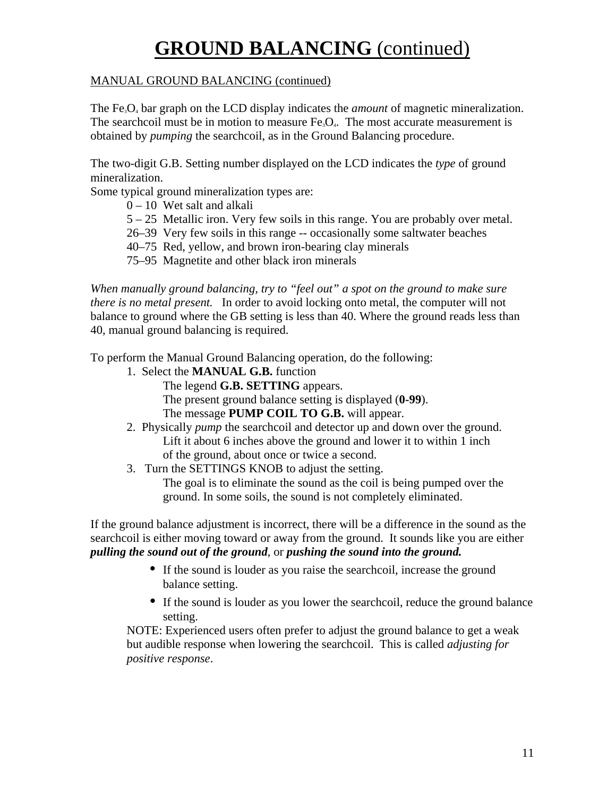## **GROUND BALANCING** (continued)

#### MANUAL GROUND BALANCING (continued)

The Fe<sub>3</sub>O<sub>4</sub> bar graph on the LCD display indicates the *amount* of magnetic mineralization. The searchcoil must be in motion to measure  $Fe<sub>3</sub>O<sub>4</sub>$ . The most accurate measurement is obtained by *pumping* the searchcoil, as in the Ground Balancing procedure.

The two-digit G.B. Setting number displayed on the LCD indicates the *type* of ground mineralization.

Some typical ground mineralization types are:

- $0 10$  Wet salt and alkali
- 5 25 Metallic iron. Very few soils in this range. You are probably over metal.
- 26–39 Very few soils in this range -- occasionally some saltwater beaches
- 40–75 Red, yellow, and brown iron-bearing clay minerals
- 75–95 Magnetite and other black iron minerals

*When manually ground balancing, try to "feel out" a spot on the ground to make sure there is no metal present.* In order to avoid locking onto metal, the computer will not balance to ground where the GB setting is less than 40. Where the ground reads less than 40, manual ground balancing is required.

To perform the Manual Ground Balancing operation, do the following:

- 1. Select the **MANUAL G.B.** function
	- The legend **G.B. SETTING** appears.
	- The present ground balance setting is displayed (**0-99**).
	- The message **PUMP COIL TO G.B.** will appear.
- 2. Physically *pump* the searchcoil and detector up and down over the ground. Lift it about 6 inches above the ground and lower it to within 1 inch of the ground, about once or twice a second.
- 3. Turn the SETTINGS KNOB to adjust the setting.

 The goal is to eliminate the sound as the coil is being pumped over the ground. In some soils, the sound is not completely eliminated.

If the ground balance adjustment is incorrect, there will be a difference in the sound as the searchcoil is either moving toward or away from the ground. It sounds like you are either *pulling the sound out of the ground*, or *pushing the sound into the ground.* 

- If the sound is louder as you raise the searchcoil, increase the ground balance setting.
- If the sound is louder as you lower the searchcoil, reduce the ground balance setting.

NOTE: Experienced users often prefer to adjust the ground balance to get a weak but audible response when lowering the searchcoil. This is called *adjusting for positive response*.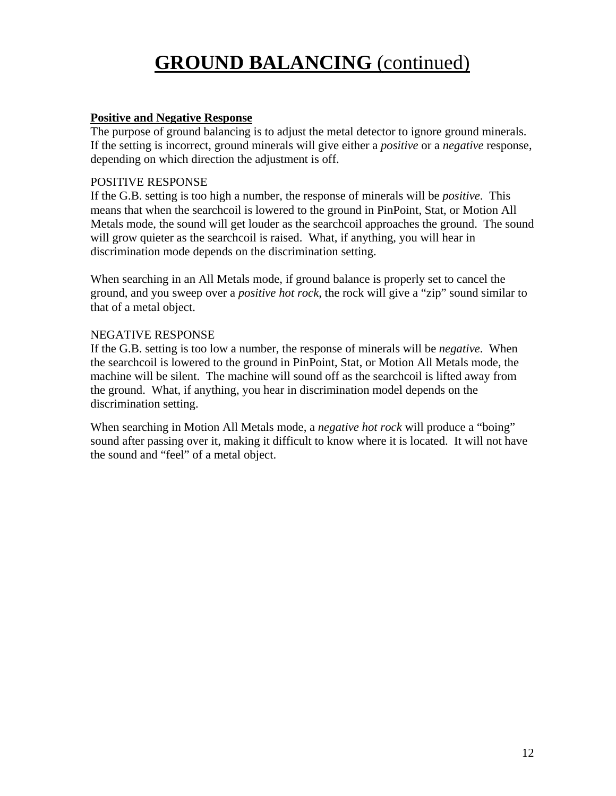## **GROUND BALANCING** (continued)

#### **Positive and Negative Response**

The purpose of ground balancing is to adjust the metal detector to ignore ground minerals. If the setting is incorrect, ground minerals will give either a *positive* or a *negative* response, depending on which direction the adjustment is off.

#### POSITIVE RESPONSE

If the G.B. setting is too high a number, the response of minerals will be *positive*. This means that when the searchcoil is lowered to the ground in PinPoint, Stat, or Motion All Metals mode, the sound will get louder as the searchcoil approaches the ground. The sound will grow quieter as the searchcoil is raised. What, if anything, you will hear in discrimination mode depends on the discrimination setting.

When searching in an All Metals mode, if ground balance is properly set to cancel the ground, and you sweep over a *positive hot rock*, the rock will give a "zip" sound similar to that of a metal object.

#### NEGATIVE RESPONSE

If the G.B. setting is too low a number, the response of minerals will be *negative*. When the searchcoil is lowered to the ground in PinPoint, Stat, or Motion All Metals mode, the machine will be silent. The machine will sound off as the searchcoil is lifted away from the ground. What, if anything, you hear in discrimination model depends on the discrimination setting.

When searching in Motion All Metals mode, a *negative hot rock* will produce a "boing" sound after passing over it, making it difficult to know where it is located. It will not have the sound and "feel" of a metal object.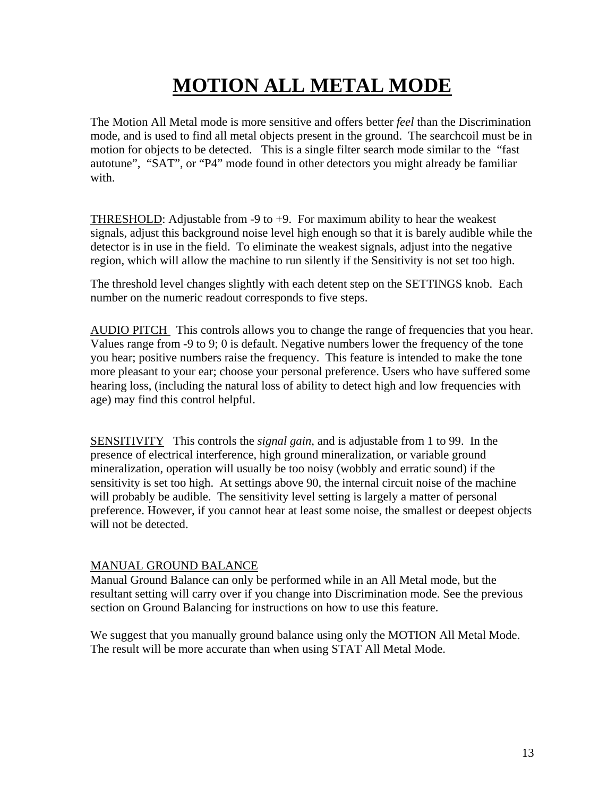# **MOTION ALL METAL MODE**

The Motion All Metal mode is more sensitive and offers better *feel* than the Discrimination mode, and is used to find all metal objects present in the ground. The searchcoil must be in motion for objects to be detected. This is a single filter search mode similar to the "fast autotune", "SAT", or "P4" mode found in other detectors you might already be familiar with.

THRESHOLD: Adjustable from -9 to +9. For maximum ability to hear the weakest signals, adjust this background noise level high enough so that it is barely audible while the detector is in use in the field. To eliminate the weakest signals, adjust into the negative region, which will allow the machine to run silently if the Sensitivity is not set too high.

The threshold level changes slightly with each detent step on the SETTINGS knob. Each number on the numeric readout corresponds to five steps.

AUDIO PITCH This controls allows you to change the range of frequencies that you hear. Values range from -9 to 9; 0 is default. Negative numbers lower the frequency of the tone you hear; positive numbers raise the frequency. This feature is intended to make the tone more pleasant to your ear; choose your personal preference. Users who have suffered some hearing loss, (including the natural loss of ability to detect high and low frequencies with age) may find this control helpful.

SENSITIVITY This controls the *signal gain*, and is adjustable from 1 to 99. In the presence of electrical interference, high ground mineralization, or variable ground mineralization, operation will usually be too noisy (wobbly and erratic sound) if the sensitivity is set too high. At settings above 90, the internal circuit noise of the machine will probably be audible. The sensitivity level setting is largely a matter of personal preference. However, if you cannot hear at least some noise, the smallest or deepest objects will not be detected.

#### MANUAL GROUND BALANCE

Manual Ground Balance can only be performed while in an All Metal mode, but the resultant setting will carry over if you change into Discrimination mode. See the previous section on Ground Balancing for instructions on how to use this feature.

We suggest that you manually ground balance using only the MOTION All Metal Mode. The result will be more accurate than when using STAT All Metal Mode.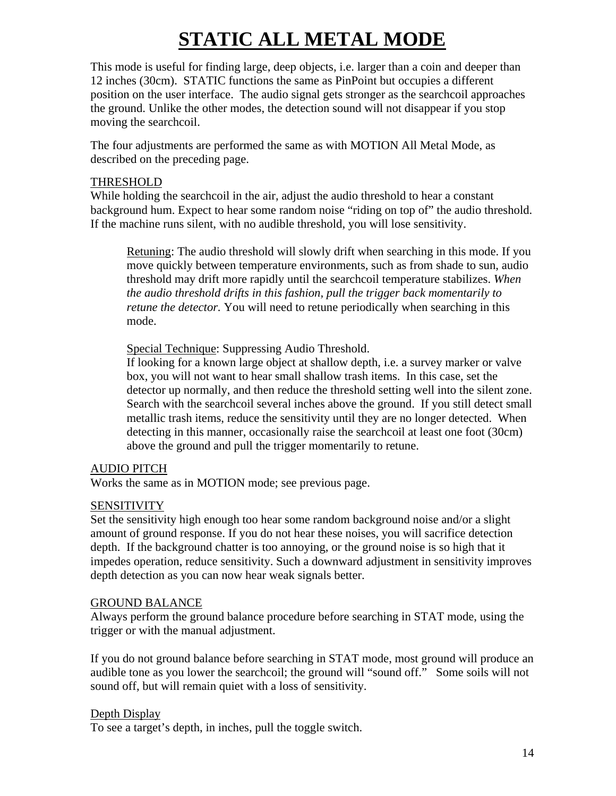# **STATIC ALL METAL MODE**

This mode is useful for finding large, deep objects, i.e. larger than a coin and deeper than 12 inches (30cm). STATIC functions the same as PinPoint but occupies a different position on the user interface. The audio signal gets stronger as the searchcoil approaches the ground. Unlike the other modes, the detection sound will not disappear if you stop moving the searchcoil.

The four adjustments are performed the same as with MOTION All Metal Mode, as described on the preceding page.

#### THRESHOLD

While holding the searchcoil in the air, adjust the audio threshold to hear a constant background hum. Expect to hear some random noise "riding on top of" the audio threshold. If the machine runs silent, with no audible threshold, you will lose sensitivity.

Retuning: The audio threshold will slowly drift when searching in this mode. If you move quickly between temperature environments, such as from shade to sun, audio threshold may drift more rapidly until the searchcoil temperature stabilizes. *When the audio threshold drifts in this fashion, pull the trigger back momentarily to retune the detector.* You will need to retune periodically when searching in this mode.

Special Technique: Suppressing Audio Threshold.

If looking for a known large object at shallow depth, i.e. a survey marker or valve box, you will not want to hear small shallow trash items. In this case, set the detector up normally, and then reduce the threshold setting well into the silent zone. Search with the searchcoil several inches above the ground. If you still detect small metallic trash items, reduce the sensitivity until they are no longer detected. When detecting in this manner, occasionally raise the searchcoil at least one foot (30cm) above the ground and pull the trigger momentarily to retune.

#### AUDIO PITCH

Works the same as in MOTION mode; see previous page.

#### SENSITIVITY

Set the sensitivity high enough too hear some random background noise and/or a slight amount of ground response. If you do not hear these noises, you will sacrifice detection depth. If the background chatter is too annoying, or the ground noise is so high that it impedes operation, reduce sensitivity. Such a downward adjustment in sensitivity improves depth detection as you can now hear weak signals better.

#### GROUND BALANCE

Always perform the ground balance procedure before searching in STAT mode, using the trigger or with the manual adjustment.

If you do not ground balance before searching in STAT mode, most ground will produce an audible tone as you lower the searchcoil; the ground will "sound off." Some soils will not sound off, but will remain quiet with a loss of sensitivity.

#### Depth Display

To see a target's depth, in inches, pull the toggle switch.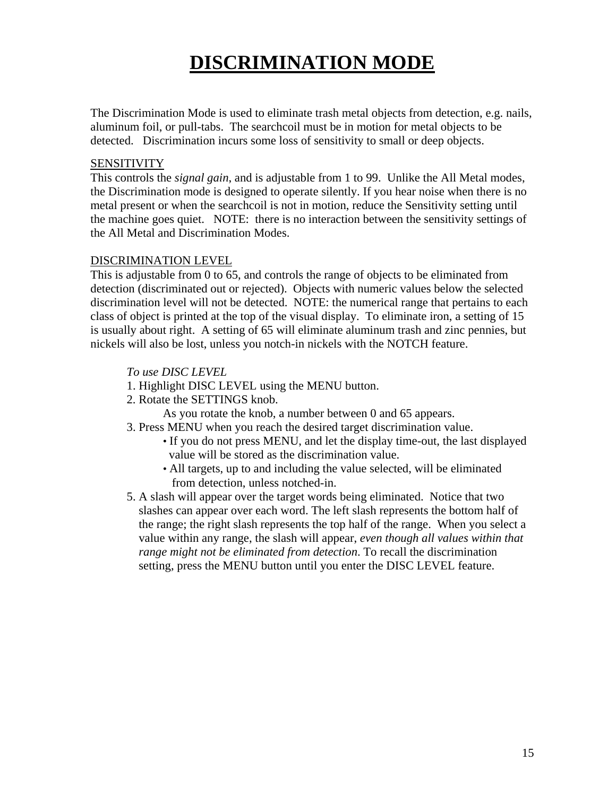### **DISCRIMINATION MODE**

The Discrimination Mode is used to eliminate trash metal objects from detection, e.g. nails, aluminum foil, or pull-tabs. The searchcoil must be in motion for metal objects to be detected. Discrimination incurs some loss of sensitivity to small or deep objects.

#### **SENSITIVITY**

This controls the *signal gain*, and is adjustable from 1 to 99. Unlike the All Metal modes, the Discrimination mode is designed to operate silently. If you hear noise when there is no metal present or when the searchcoil is not in motion, reduce the Sensitivity setting until the machine goes quiet. NOTE: there is no interaction between the sensitivity settings of the All Metal and Discrimination Modes.

#### DISCRIMINATION LEVEL

This is adjustable from 0 to 65, and controls the range of objects to be eliminated from detection (discriminated out or rejected). Objects with numeric values below the selected discrimination level will not be detected. NOTE: the numerical range that pertains to each class of object is printed at the top of the visual display. To eliminate iron, a setting of 15 is usually about right. A setting of 65 will eliminate aluminum trash and zinc pennies, but nickels will also be lost, unless you notch-in nickels with the NOTCH feature.

#### *To use DISC LEVEL*

- 1. Highlight DISC LEVEL using the MENU button.
- 2. Rotate the SETTINGS knob.
	- As you rotate the knob, a number between 0 and 65 appears.
- 3. Press MENU when you reach the desired target discrimination value.
	- If you do not press MENU, and let the display time-out, the last displayed value will be stored as the discrimination value.
	- All targets, up to and including the value selected, will be eliminated from detection, unless notched-in.
- 5. A slash will appear over the target words being eliminated. Notice that two slashes can appear over each word. The left slash represents the bottom half of the range; the right slash represents the top half of the range. When you select a value within any range, the slash will appear, *even though all values within that range might not be eliminated from detection*. To recall the discrimination setting, press the MENU button until you enter the DISC LEVEL feature.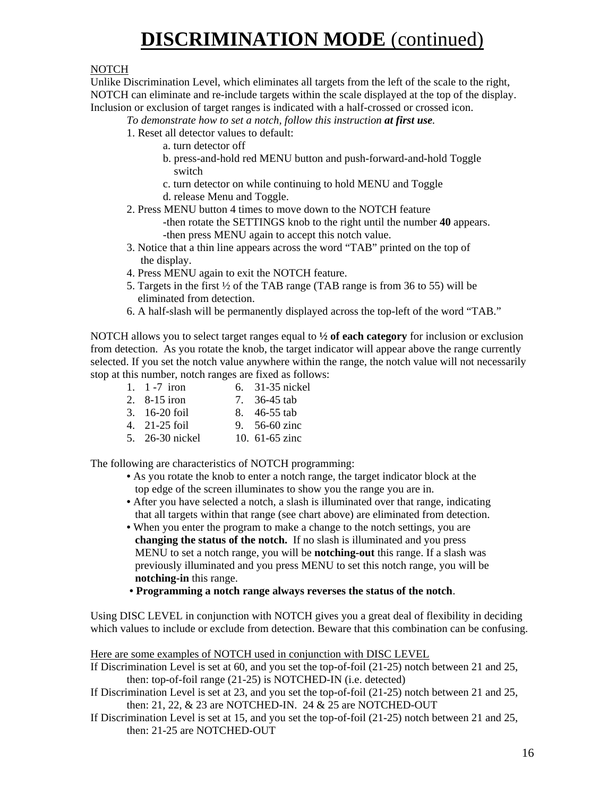## **DISCRIMINATION MODE** (continued)

#### NOTCH

Unlike Discrimination Level, which eliminates all targets from the left of the scale to the right, NOTCH can eliminate and re-include targets within the scale displayed at the top of the display. Inclusion or exclusion of target ranges is indicated with a half-crossed or crossed icon.

*To demonstrate how to set a notch, follow this instruction at first use.* 

- 1. Reset all detector values to default:
	- a. turn detector off
		- b. press-and-hold red MENU button and push-forward-and-hold Toggle switch
		- c. turn detector on while continuing to hold MENU and Toggle
	- d. release Menu and Toggle.
- 2. Press MENU button 4 times to move down to the NOTCH feature -then rotate the SETTINGS knob to the right until the number **40** appears. -then press MENU again to accept this notch value.
- 3. Notice that a thin line appears across the word "TAB" printed on the top of the display.
- 4. Press MENU again to exit the NOTCH feature.
- 5. Targets in the first ½ of the TAB range (TAB range is from 36 to 55) will be eliminated from detection.
- 6. A half-slash will be permanently displayed across the top-left of the word "TAB."

NOTCH allows you to select target ranges equal to **½ of each category** for inclusion or exclusion from detection. As you rotate the knob, the target indicator will appear above the range currently selected. If you set the notch value anywhere within the range, the notch value will not necessarily stop at this number, notch ranges are fixed as follows:

- 1. 1 -7 iron 6. 31-35 nickel
- 2. 8-15 iron 7. 36-45 tab
- 
- 3. 16-20 foil 8. 46-55 tab<br>4. 21-25 foil 9. 56-60 zinc 9. 56-60 zinc
- 5. 26-30 nickel 10. 61-65 zinc

The following are characteristics of NOTCH programming:

- As you rotate the knob to enter a notch range, the target indicator block at the top edge of the screen illuminates to show you the range you are in.
- After you have selected a notch, a slash is illuminated over that range, indicating that all targets within that range (see chart above) are eliminated from detection.
- When you enter the program to make a change to the notch settings, you are **changing the status of the notch.** If no slash is illuminated and you press MENU to set a notch range, you will be **notching-out** this range. If a slash was previously illuminated and you press MENU to set this notch range, you will be **notching-in** this range.
- **Programming a notch range always reverses the status of the notch**.

Using DISC LEVEL in conjunction with NOTCH gives you a great deal of flexibility in deciding which values to include or exclude from detection. Beware that this combination can be confusing.

Here are some examples of NOTCH used in conjunction with DISC LEVEL If Discrimination Level is set at 60, and you set the top-of-foil (21-25) notch between 21 and 25, then: top-of-foil range (21-25) is NOTCHED-IN (i.e. detected) If Discrimination Level is set at 23, and you set the top-of-foil (21-25) notch between 21 and 25, then: 21, 22, & 23 are NOTCHED-IN. 24 & 25 are NOTCHED-OUT If Discrimination Level is set at 15, and you set the top-of-foil (21-25) notch between 21 and 25, then: 21-25 are NOTCHED-OUT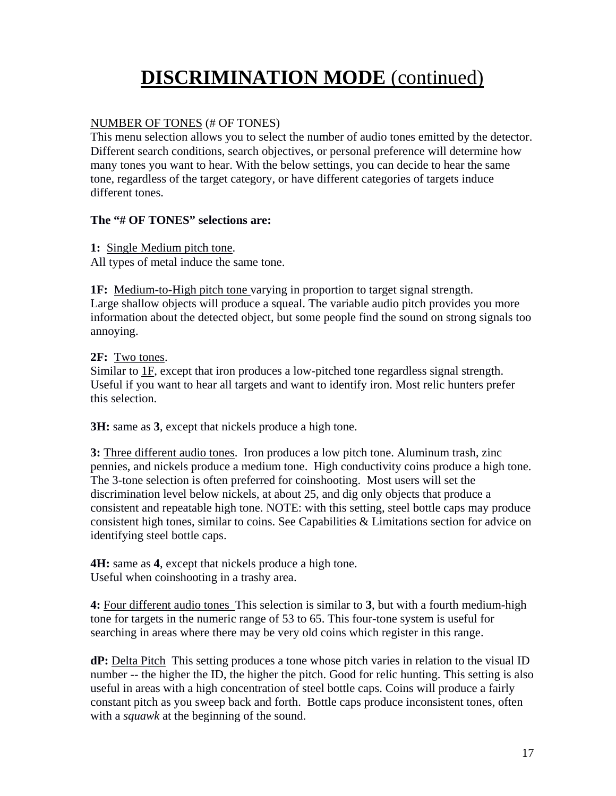# **DISCRIMINATION MODE** (continued)

#### NUMBER OF TONES (# OF TONES)

This menu selection allows you to select the number of audio tones emitted by the detector. Different search conditions, search objectives, or personal preference will determine how many tones you want to hear. With the below settings, you can decide to hear the same tone, regardless of the target category, or have different categories of targets induce different tones.

#### **The "# OF TONES" selections are:**

**1:** Single Medium pitch tone. All types of metal induce the same tone.

**1F:** Medium-to-High pitch tone varying in proportion to target signal strength. Large shallow objects will produce a squeal. The variable audio pitch provides you more information about the detected object, but some people find the sound on strong signals too annoying.

#### **2F:** Two tones.

Similar to 1F, except that iron produces a low-pitched tone regardless signal strength. Useful if you want to hear all targets and want to identify iron. Most relic hunters prefer this selection.

**3H:** same as **3**, except that nickels produce a high tone.

**3:** Three different audio tones. Iron produces a low pitch tone. Aluminum trash, zinc pennies, and nickels produce a medium tone. High conductivity coins produce a high tone. The 3-tone selection is often preferred for coinshooting. Most users will set the discrimination level below nickels, at about 25, and dig only objects that produce a consistent and repeatable high tone. NOTE: with this setting, steel bottle caps may produce consistent high tones, similar to coins. See Capabilities & Limitations section for advice on identifying steel bottle caps.

**4H:** same as **4**, except that nickels produce a high tone. Useful when coinshooting in a trashy area.

**4:** Four different audio tones This selection is similar to **3**, but with a fourth medium-high tone for targets in the numeric range of 53 to 65. This four-tone system is useful for searching in areas where there may be very old coins which register in this range.

**dP:** Delta Pitch This setting produces a tone whose pitch varies in relation to the visual ID number -- the higher the ID, the higher the pitch. Good for relic hunting. This setting is also useful in areas with a high concentration of steel bottle caps. Coins will produce a fairly constant pitch as you sweep back and forth. Bottle caps produce inconsistent tones, often with a *squawk* at the beginning of the sound.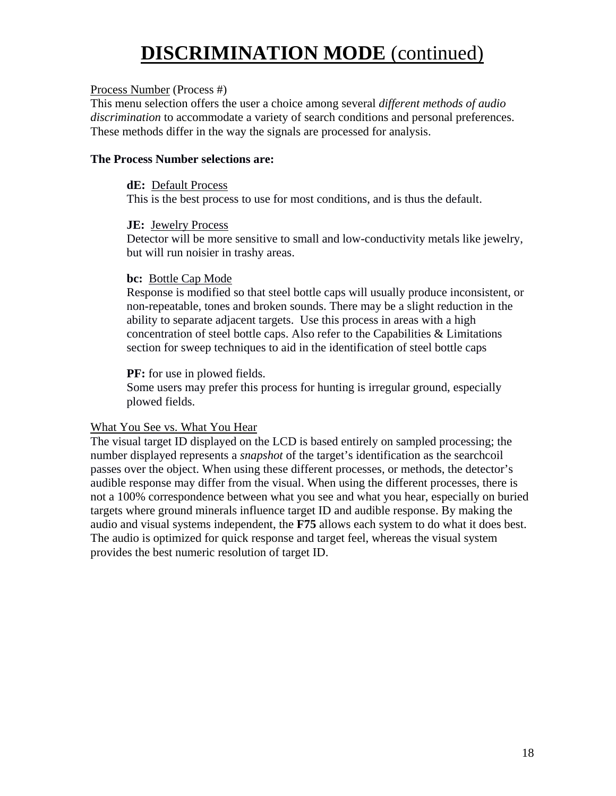## **DISCRIMINATION MODE** (continued)

#### Process Number (Process #)

This menu selection offers the user a choice among several *different methods of audio discrimination* to accommodate a variety of search conditions and personal preferences. These methods differ in the way the signals are processed for analysis.

#### **The Process Number selections are:**

#### **dE:** Default Process

This is the best process to use for most conditions, and is thus the default.

#### **JE:** Jewelry Process

Detector will be more sensitive to small and low-conductivity metals like jewelry, but will run noisier in trashy areas.

#### **bc:** Bottle Cap Mode

Response is modified so that steel bottle caps will usually produce inconsistent, or non-repeatable, tones and broken sounds. There may be a slight reduction in the ability to separate adjacent targets. Use this process in areas with a high concentration of steel bottle caps. Also refer to the Capabilities & Limitations section for sweep techniques to aid in the identification of steel bottle caps

#### **PF:** for use in plowed fields.

Some users may prefer this process for hunting is irregular ground, especially plowed fields.

#### What You See vs. What You Hear

The visual target ID displayed on the LCD is based entirely on sampled processing; the number displayed represents a *snapshot* of the target's identification as the searchcoil passes over the object. When using these different processes, or methods, the detector's audible response may differ from the visual. When using the different processes, there is not a 100% correspondence between what you see and what you hear, especially on buried targets where ground minerals influence target ID and audible response. By making the audio and visual systems independent, the **F75** allows each system to do what it does best. The audio is optimized for quick response and target feel, whereas the visual system provides the best numeric resolution of target ID.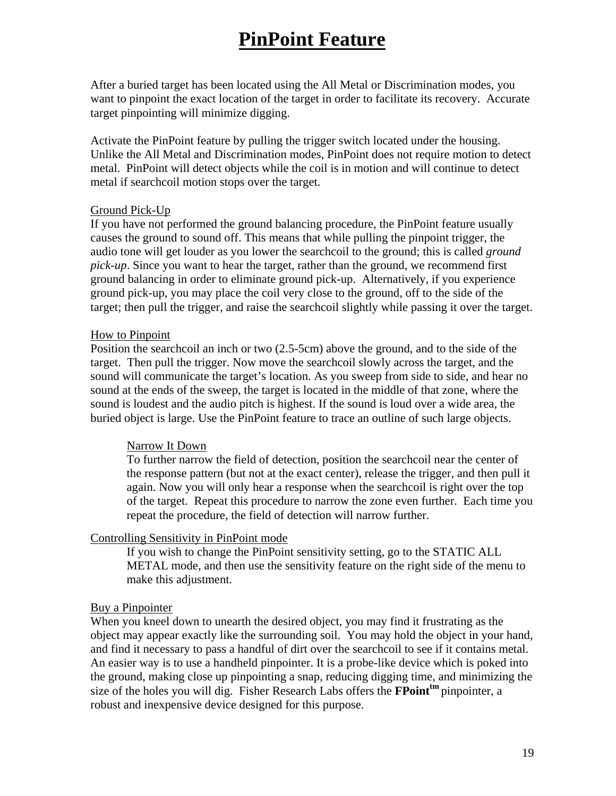### **PinPoint Feature**

After a buried target has been located using the All Metal or Discrimination modes, you want to pinpoint the exact location of the target in order to facilitate its recovery. Accurate target pinpointing will minimize digging.

Activate the PinPoint feature by pulling the trigger switch located under the housing. Unlike the All Metal and Discrimination modes, PinPoint does not require motion to detect metal. PinPoint will detect objects while the coil is in motion and will continue to detect metal if searchcoil motion stops over the target.

#### Ground Pick-Up

If you have not performed the ground balancing procedure, the PinPoint feature usually causes the ground to sound off. This means that while pulling the pinpoint trigger, the audio tone will get louder as you lower the searchcoil to the ground; this is called *ground pick-up*. Since you want to hear the target, rather than the ground, we recommend first ground balancing in order to eliminate ground pick-up. Alternatively, if you experience ground pick-up, you may place the coil very close to the ground, off to the side of the target; then pull the trigger, and raise the searchcoil slightly while passing it over the target.

#### How to Pinpoint

Position the searchcoil an inch or two (2.5-5cm) above the ground, and to the side of the target. Then pull the trigger. Now move the searchcoil slowly across the target, and the sound will communicate the target's location. As you sweep from side to side, and hear no sound at the ends of the sweep, the target is located in the middle of that zone, where the sound is loudest and the audio pitch is highest. If the sound is loud over a wide area, the buried object is large. Use the PinPoint feature to trace an outline of such large objects.

#### Narrow It Down

 To further narrow the field of detection, position the searchcoil near the center of the response pattern (but not at the exact center), release the trigger, and then pull it again. Now you will only hear a response when the searchcoil is right over the top of the target. Repeat this procedure to narrow the zone even further. Each time you repeat the procedure, the field of detection will narrow further.

#### Controlling Sensitivity in PinPoint mode

If you wish to change the PinPoint sensitivity setting, go to the STATIC ALL METAL mode, and then use the sensitivity feature on the right side of the menu to make this adjustment.

#### Buy a Pinpointer

When you kneel down to unearth the desired object, you may find it frustrating as the object may appear exactly like the surrounding soil. You may hold the object in your hand, and find it necessary to pass a handful of dirt over the searchcoil to see if it contains metal. An easier way is to use a handheld pinpointer. It is a probe-like device which is poked into the ground, making close up pinpointing a snap, reducing digging time, and minimizing the size of the holes you will dig. Fisher Research Labs offers the **FPoint<sup>tm</sup>** pinpointer, a robust and inexpensive device designed for this purpose.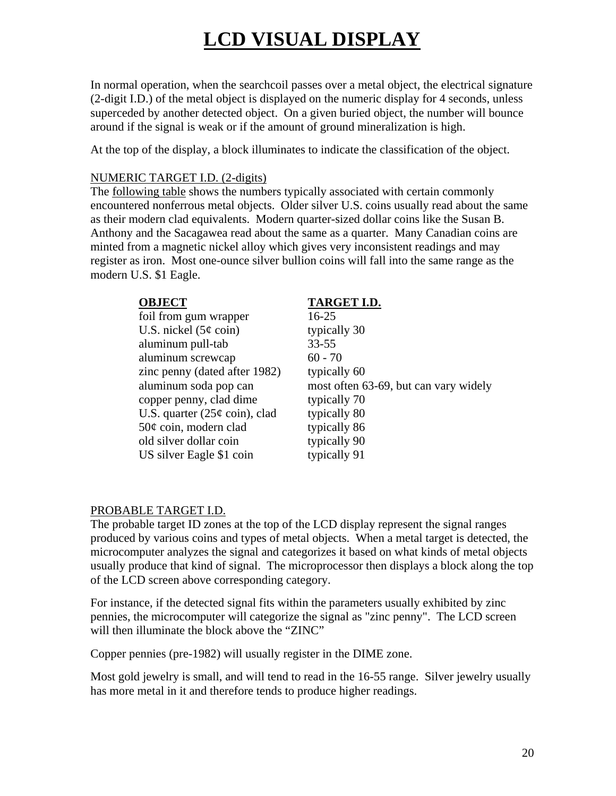# **LCD VISUAL DISPLAY**

In normal operation, when the searchcoil passes over a metal object, the electrical signature (2-digit I.D.) of the metal object is displayed on the numeric display for 4 seconds, unless superceded by another detected object. On a given buried object, the number will bounce around if the signal is weak or if the amount of ground mineralization is high.

At the top of the display, a block illuminates to indicate the classification of the object.

#### NUMERIC TARGET I.D. (2-digits)

The following table shows the numbers typically associated with certain commonly encountered nonferrous metal objects. Older silver U.S. coins usually read about the same as their modern clad equivalents. Modern quarter-sized dollar coins like the Susan B. Anthony and the Sacagawea read about the same as a quarter. Many Canadian coins are minted from a magnetic nickel alloy which gives very inconsistent readings and may register as iron. Most one-ounce silver bullion coins will fall into the same range as the modern U.S. \$1 Eagle.

| <b>OBJECT</b> |  |
|---------------|--|
|               |  |

| foil from gum wrapper           | $16 - 25$    |
|---------------------------------|--------------|
| U.S. nickel $(5¢$ coin)         | typically 30 |
| aluminum pull-tab               | $33 - 55$    |
| aluminum screwcap               | $60 - 70$    |
| zinc penny (dated after 1982)   | typically 60 |
| aluminum soda pop can           | most often 6 |
| copper penny, clad dime         | typically 70 |
| U.S. quarter $(25¢$ coin), clad | typically 80 |
| $50¢$ coin, modern clad         | typically 86 |
| old silver dollar coin          | typically 90 |
| US silver Eagle \$1 coin        | typically 91 |

**OBJECT TARGET I.D.**

 $16-25$ typically 30 **33-55**  $60 - 70$ typically 60 most often 63-69, but can vary widely typically 70 typically 80 typically 86 typically 91

#### PROBABLE TARGET I.D.

The probable target ID zones at the top of the LCD display represent the signal ranges produced by various coins and types of metal objects. When a metal target is detected, the microcomputer analyzes the signal and categorizes it based on what kinds of metal objects usually produce that kind of signal. The microprocessor then displays a block along the top of the LCD screen above corresponding category.

For instance, if the detected signal fits within the parameters usually exhibited by zinc pennies, the microcomputer will categorize the signal as "zinc penny". The LCD screen will then illuminate the block above the "ZINC"

Copper pennies (pre-1982) will usually register in the DIME zone.

Most gold jewelry is small, and will tend to read in the 16-55 range. Silver jewelry usually has more metal in it and therefore tends to produce higher readings.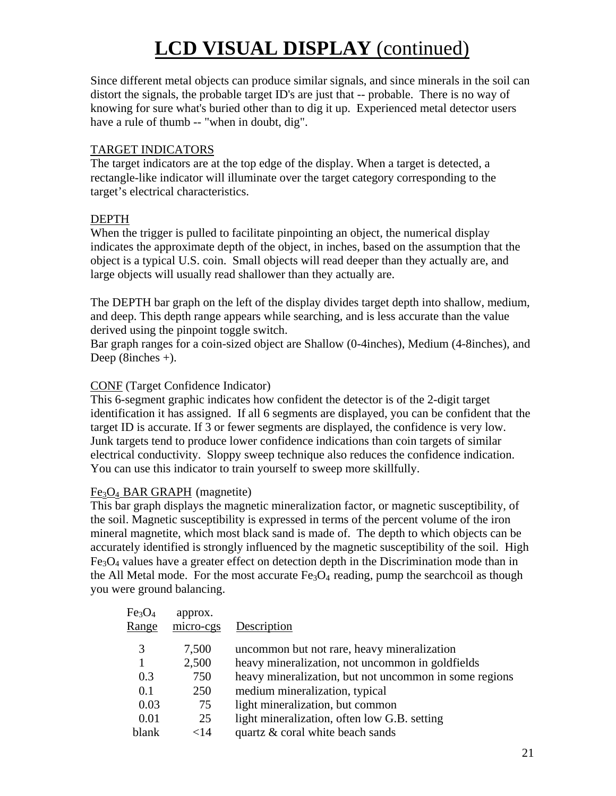# **LCD VISUAL DISPLAY** (continued)

Since different metal objects can produce similar signals, and since minerals in the soil can distort the signals, the probable target ID's are just that -- probable. There is no way of knowing for sure what's buried other than to dig it up. Experienced metal detector users have a rule of thumb -- "when in doubt, dig".

#### TARGET INDICATORS

The target indicators are at the top edge of the display. When a target is detected, a rectangle-like indicator will illuminate over the target category corresponding to the target's electrical characteristics.

#### DEPTH

When the trigger is pulled to facilitate pinpointing an object, the numerical display indicates the approximate depth of the object, in inches, based on the assumption that the object is a typical U.S. coin. Small objects will read deeper than they actually are, and large objects will usually read shallower than they actually are.

The DEPTH bar graph on the left of the display divides target depth into shallow, medium, and deep. This depth range appears while searching, and is less accurate than the value derived using the pinpoint toggle switch.

Bar graph ranges for a coin-sized object are Shallow (0-4inches), Medium (4-8inches), and Deep  $(8inches +)$ .

#### CONF (Target Confidence Indicator)

This 6-segment graphic indicates how confident the detector is of the 2-digit target identification it has assigned. If all 6 segments are displayed, you can be confident that the target ID is accurate. If 3 or fewer segments are displayed, the confidence is very low. Junk targets tend to produce lower confidence indications than coin targets of similar electrical conductivity. Sloppy sweep technique also reduces the confidence indication. You can use this indicator to train yourself to sweep more skillfully.

#### Fe3O4 BAR GRAPH (magnetite)

This bar graph displays the magnetic mineralization factor, or magnetic susceptibility, of the soil. Magnetic susceptibility is expressed in terms of the percent volume of the iron mineral magnetite, which most black sand is made of. The depth to which objects can be accurately identified is strongly influenced by the magnetic susceptibility of the soil. High  $Fe<sub>3</sub>O<sub>4</sub>$  values have a greater effect on detection depth in the Discrimination mode than in the All Metal mode. For the most accurate  $Fe<sub>3</sub>O<sub>4</sub>$  reading, pump the searchcoil as though you were ground balancing.

| Fe <sub>3</sub> O <sub>4</sub><br>Range | approx.<br>micro-cgs | Description                                            |
|-----------------------------------------|----------------------|--------------------------------------------------------|
| 3                                       | 7,500                | uncommon but not rare, heavy mineralization            |
| 1                                       | 2,500                | heavy mineralization, not uncommon in goldfields       |
| 0.3                                     | 750                  | heavy mineralization, but not uncommon in some regions |
| 0.1                                     | 250                  | medium mineralization, typical                         |
| 0.03                                    | 75                   | light mineralization, but common                       |
| 0.01                                    | 25                   | light mineralization, often low G.B. setting           |
| blank                                   | $<$ 14               | quartz & coral white beach sands                       |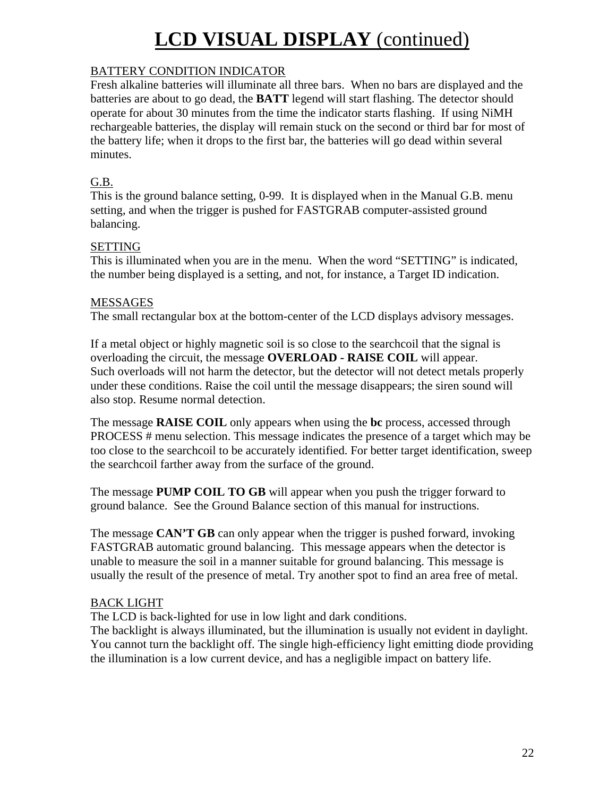# **LCD VISUAL DISPLAY** (continued)

#### BATTERY CONDITION INDICATOR

Fresh alkaline batteries will illuminate all three bars. When no bars are displayed and the batteries are about to go dead, the **BATT** legend will start flashing. The detector should operate for about 30 minutes from the time the indicator starts flashing. If using NiMH rechargeable batteries, the display will remain stuck on the second or third bar for most of the battery life; when it drops to the first bar, the batteries will go dead within several minutes.

#### G.B.

This is the ground balance setting, 0-99. It is displayed when in the Manual G.B. menu setting, and when the trigger is pushed for FASTGRAB computer-assisted ground balancing.

#### SETTING

This is illuminated when you are in the menu. When the word "SETTING" is indicated, the number being displayed is a setting, and not, for instance, a Target ID indication.

#### MESSAGES

The small rectangular box at the bottom-center of the LCD displays advisory messages.

If a metal object or highly magnetic soil is so close to the searchcoil that the signal is overloading the circuit, the message **OVERLOAD - RAISE COIL** will appear. Such overloads will not harm the detector, but the detector will not detect metals properly under these conditions. Raise the coil until the message disappears; the siren sound will also stop. Resume normal detection.

The message **RAISE COIL** only appears when using the **bc** process, accessed through PROCESS # menu selection. This message indicates the presence of a target which may be too close to the searchcoil to be accurately identified. For better target identification, sweep the searchcoil farther away from the surface of the ground.

The message **PUMP COIL TO GB** will appear when you push the trigger forward to ground balance. See the Ground Balance section of this manual for instructions.

The message **CAN'T GB** can only appear when the trigger is pushed forward, invoking FASTGRAB automatic ground balancing. This message appears when the detector is unable to measure the soil in a manner suitable for ground balancing. This message is usually the result of the presence of metal. Try another spot to find an area free of metal.

#### BACK LIGHT

The LCD is back-lighted for use in low light and dark conditions.

The backlight is always illuminated, but the illumination is usually not evident in daylight. You cannot turn the backlight off. The single high-efficiency light emitting diode providing the illumination is a low current device, and has a negligible impact on battery life.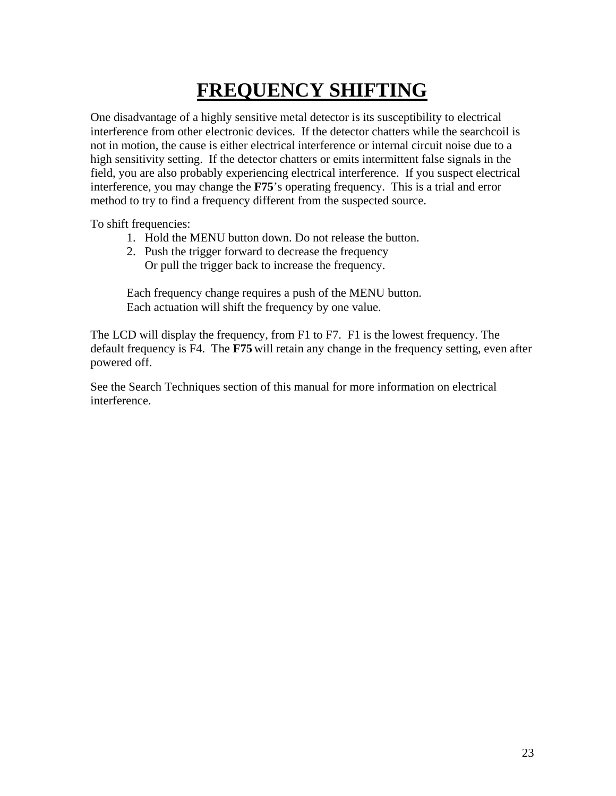# **FREQUENCY SHIFTING**

One disadvantage of a highly sensitive metal detector is its susceptibility to electrical interference from other electronic devices. If the detector chatters while the searchcoil is not in motion, the cause is either electrical interference or internal circuit noise due to a high sensitivity setting. If the detector chatters or emits intermittent false signals in the field, you are also probably experiencing electrical interference. If you suspect electrical interference, you may change the **F75**'s operating frequency. This is a trial and error method to try to find a frequency different from the suspected source.

To shift frequencies:

- 1. Hold the MENU button down. Do not release the button.
- 2. Push the trigger forward to decrease the frequency Or pull the trigger back to increase the frequency.

Each frequency change requires a push of the MENU button. Each actuation will shift the frequency by one value.

The LCD will display the frequency, from F1 to F7. F1 is the lowest frequency. The default frequency is F4. The **F75** will retain any change in the frequency setting, even after powered off.

See the Search Techniques section of this manual for more information on electrical interference.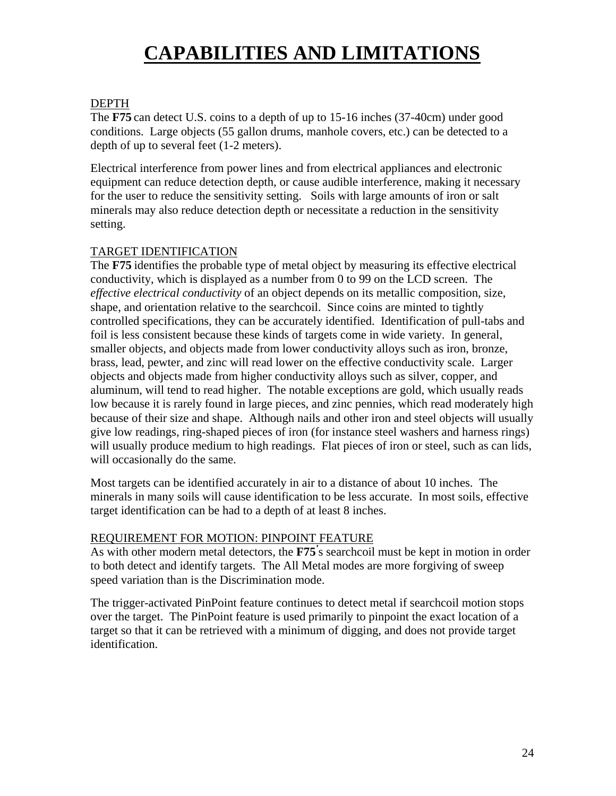## **CAPABILITIES AND LIMITATIONS**

#### DEPTH

The **F75** can detect U.S. coins to a depth of up to 15-16 inches (37-40cm) under good conditions. Large objects (55 gallon drums, manhole covers, etc.) can be detected to a depth of up to several feet (1-2 meters).

Electrical interference from power lines and from electrical appliances and electronic equipment can reduce detection depth, or cause audible interference, making it necessary for the user to reduce the sensitivity setting. Soils with large amounts of iron or salt minerals may also reduce detection depth or necessitate a reduction in the sensitivity setting.

#### TARGET IDENTIFICATION

The **F75** identifies the probable type of metal object by measuring its effective electrical conductivity, which is displayed as a number from 0 to 99 on the LCD screen. The *effective electrical conductivity* of an object depends on its metallic composition, size, shape, and orientation relative to the searchcoil. Since coins are minted to tightly controlled specifications, they can be accurately identified. Identification of pull-tabs and foil is less consistent because these kinds of targets come in wide variety. In general, smaller objects, and objects made from lower conductivity alloys such as iron, bronze, brass, lead, pewter, and zinc will read lower on the effective conductivity scale. Larger objects and objects made from higher conductivity alloys such as silver, copper, and aluminum, will tend to read higher. The notable exceptions are gold, which usually reads low because it is rarely found in large pieces, and zinc pennies, which read moderately high because of their size and shape. Although nails and other iron and steel objects will usually give low readings, ring-shaped pieces of iron (for instance steel washers and harness rings) will usually produce medium to high readings. Flat pieces of iron or steel, such as can lids, will occasionally do the same.

Most targets can be identified accurately in air to a distance of about 10 inches. The minerals in many soils will cause identification to be less accurate. In most soils, effective target identification can be had to a depth of at least 8 inches.

#### REQUIREMENT FOR MOTION: PINPOINT FEATURE

As with other modern metal detectors, the **F75***'* s searchcoil must be kept in motion in order to both detect and identify targets. The All Metal modes are more forgiving of sweep speed variation than is the Discrimination mode.

The trigger-activated PinPoint feature continues to detect metal if searchcoil motion stops over the target. The PinPoint feature is used primarily to pinpoint the exact location of a target so that it can be retrieved with a minimum of digging, and does not provide target identification.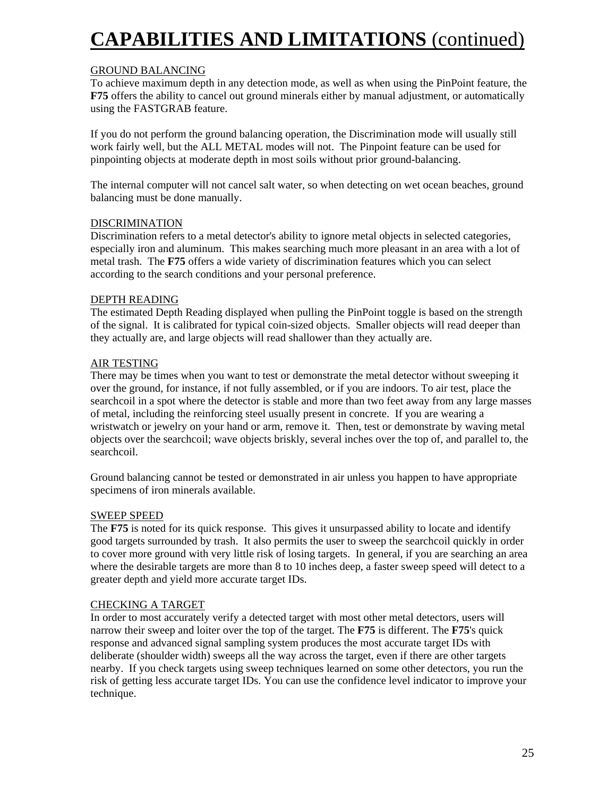# **CAPABILITIES AND LIMITATIONS** (continued)

#### GROUND BALANCING

To achieve maximum depth in any detection mode, as well as when using the PinPoint feature, the **F75** offers the ability to cancel out ground minerals either by manual adjustment, or automatically using the FASTGRAB feature.

If you do not perform the ground balancing operation, the Discrimination mode will usually still work fairly well, but the ALL METAL modes will not. The Pinpoint feature can be used for pinpointing objects at moderate depth in most soils without prior ground-balancing.

The internal computer will not cancel salt water, so when detecting on wet ocean beaches, ground balancing must be done manually.

#### DISCRIMINATION

Discrimination refers to a metal detector's ability to ignore metal objects in selected categories, especially iron and aluminum. This makes searching much more pleasant in an area with a lot of metal trash. The **F75** offers a wide variety of discrimination features which you can select according to the search conditions and your personal preference.

#### DEPTH READING

The estimated Depth Reading displayed when pulling the PinPoint toggle is based on the strength of the signal. It is calibrated for typical coin-sized objects. Smaller objects will read deeper than they actually are, and large objects will read shallower than they actually are.

#### AIR TESTING

There may be times when you want to test or demonstrate the metal detector without sweeping it over the ground, for instance, if not fully assembled, or if you are indoors. To air test, place the searchcoil in a spot where the detector is stable and more than two feet away from any large masses of metal, including the reinforcing steel usually present in concrete. If you are wearing a wristwatch or jewelry on your hand or arm, remove it. Then, test or demonstrate by waving metal objects over the searchcoil; wave objects briskly, several inches over the top of, and parallel to, the searchcoil.

Ground balancing cannot be tested or demonstrated in air unless you happen to have appropriate specimens of iron minerals available.

#### SWEEP SPEED

The **F75** is noted for its quick response. This gives it unsurpassed ability to locate and identify good targets surrounded by trash. It also permits the user to sweep the searchcoil quickly in order to cover more ground with very little risk of losing targets. In general, if you are searching an area where the desirable targets are more than 8 to 10 inches deep, a faster sweep speed will detect to a greater depth and yield more accurate target IDs.

#### CHECKING A TARGET

In order to most accurately verify a detected target with most other metal detectors, users will narrow their sweep and loiter over the top of the target. The **F75** is different. The **F75**'s quick response and advanced signal sampling system produces the most accurate target IDs with deliberate (shoulder width) sweeps all the way across the target, even if there are other targets nearby. If you check targets using sweep techniques learned on some other detectors, you run the risk of getting less accurate target IDs. You can use the confidence level indicator to improve your technique.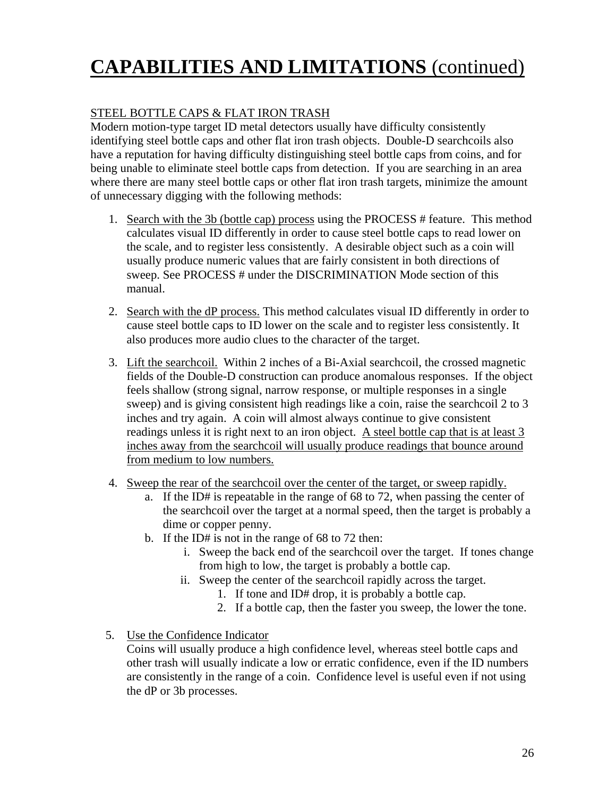# **CAPABILITIES AND LIMITATIONS** (continued)

#### STEEL BOTTLE CAPS & FLAT IRON TRASH

Modern motion-type target ID metal detectors usually have difficulty consistently identifying steel bottle caps and other flat iron trash objects. Double-D searchcoils also have a reputation for having difficulty distinguishing steel bottle caps from coins, and for being unable to eliminate steel bottle caps from detection. If you are searching in an area where there are many steel bottle caps or other flat iron trash targets, minimize the amount of unnecessary digging with the following methods:

- 1. Search with the 3b (bottle cap) process using the PROCESS # feature. This method calculates visual ID differently in order to cause steel bottle caps to read lower on the scale, and to register less consistently. A desirable object such as a coin will usually produce numeric values that are fairly consistent in both directions of sweep. See PROCESS # under the DISCRIMINATION Mode section of this manual.
- 2. Search with the dP process. This method calculates visual ID differently in order to cause steel bottle caps to ID lower on the scale and to register less consistently. It also produces more audio clues to the character of the target.
- 3. Lift the searchcoil. Within 2 inches of a Bi-Axial searchcoil, the crossed magnetic fields of the Double-D construction can produce anomalous responses. If the object feels shallow (strong signal, narrow response, or multiple responses in a single sweep) and is giving consistent high readings like a coin, raise the searchcoil 2 to 3 inches and try again. A coin will almost always continue to give consistent readings unless it is right next to an iron object. A steel bottle cap that is at least 3 inches away from the searchcoil will usually produce readings that bounce around from medium to low numbers.
- 4. Sweep the rear of the searchcoil over the center of the target, or sweep rapidly.
	- a. If the ID# is repeatable in the range of 68 to 72, when passing the center of the searchcoil over the target at a normal speed, then the target is probably a dime or copper penny.
	- b. If the ID# is not in the range of 68 to 72 then:
		- i. Sweep the back end of the searchcoil over the target. If tones change from high to low, the target is probably a bottle cap.
		- ii. Sweep the center of the searchcoil rapidly across the target.
			- 1. If tone and ID# drop, it is probably a bottle cap.
			- 2. If a bottle cap, then the faster you sweep, the lower the tone.

#### 5. Use the Confidence Indicator

Coins will usually produce a high confidence level, whereas steel bottle caps and other trash will usually indicate a low or erratic confidence, even if the ID numbers are consistently in the range of a coin. Confidence level is useful even if not using the dP or 3b processes.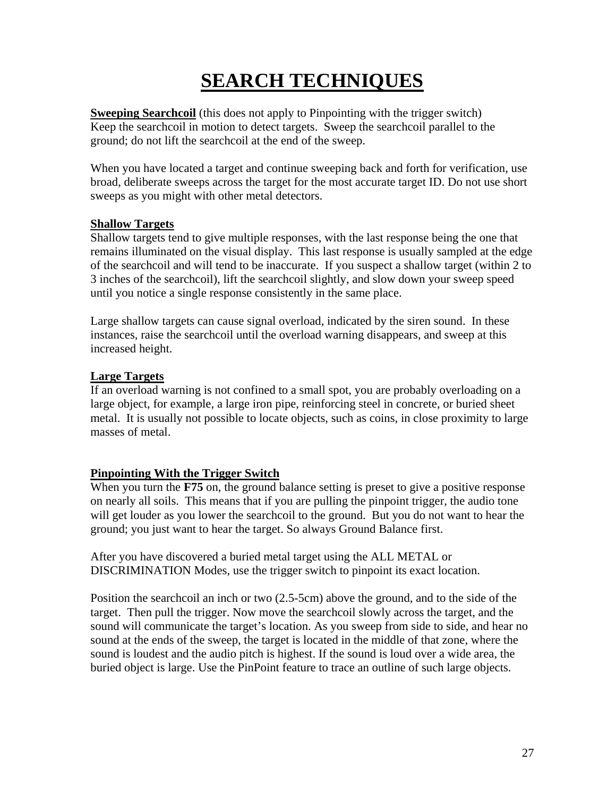# **SEARCH TECHNIQUES**

**Sweeping Searchcoil** (this does not apply to Pinpointing with the trigger switch) Keep the searchcoil in motion to detect targets. Sweep the searchcoil parallel to the ground; do not lift the searchcoil at the end of the sweep.

When you have located a target and continue sweeping back and forth for verification, use broad, deliberate sweeps across the target for the most accurate target ID. Do not use short sweeps as you might with other metal detectors.

#### **Shallow Targets**

Shallow targets tend to give multiple responses, with the last response being the one that remains illuminated on the visual display. This last response is usually sampled at the edge of the searchcoil and will tend to be inaccurate. If you suspect a shallow target (within 2 to 3 inches of the searchcoil), lift the searchcoil slightly, and slow down your sweep speed until you notice a single response consistently in the same place.

Large shallow targets can cause signal overload, indicated by the siren sound. In these instances, raise the searchcoil until the overload warning disappears, and sweep at this increased height.

#### **Large Targets**

If an overload warning is not confined to a small spot, you are probably overloading on a large object, for example, a large iron pipe, reinforcing steel in concrete, or buried sheet metal. It is usually not possible to locate objects, such as coins, in close proximity to large masses of metal.

#### **Pinpointing With the Trigger Switch**

When you turn the **F75** on, the ground balance setting is preset to give a positive response on nearly all soils. This means that if you are pulling the pinpoint trigger, the audio tone will get louder as you lower the searchcoil to the ground. But you do not want to hear the ground; you just want to hear the target. So always Ground Balance first.

After you have discovered a buried metal target using the ALL METAL or DISCRIMINATION Modes, use the trigger switch to pinpoint its exact location.

Position the searchcoil an inch or two (2.5-5cm) above the ground, and to the side of the target. Then pull the trigger. Now move the searchcoil slowly across the target, and the sound will communicate the target's location. As you sweep from side to side, and hear no sound at the ends of the sweep, the target is located in the middle of that zone, where the sound is loudest and the audio pitch is highest. If the sound is loud over a wide area, the buried object is large. Use the PinPoint feature to trace an outline of such large objects.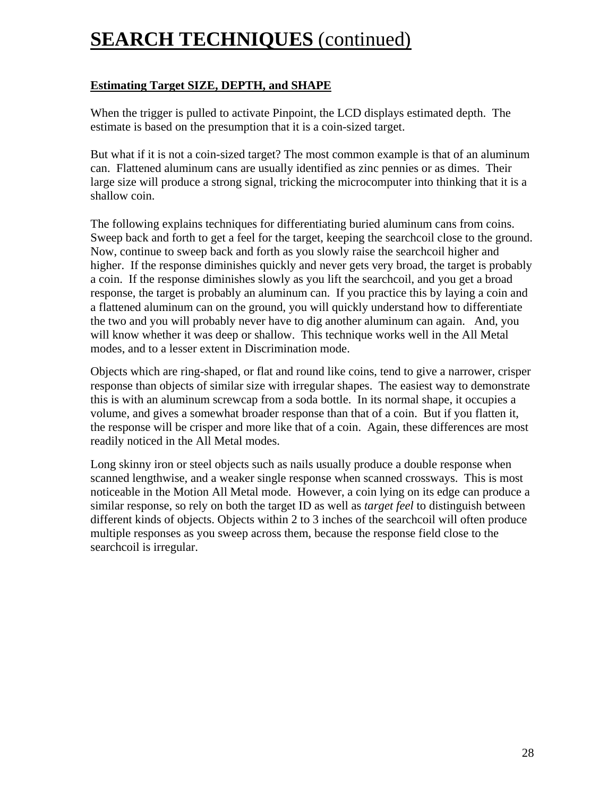#### **Estimating Target SIZE, DEPTH, and SHAPE**

When the trigger is pulled to activate Pinpoint, the LCD displays estimated depth. The estimate is based on the presumption that it is a coin-sized target.

But what if it is not a coin-sized target? The most common example is that of an aluminum can. Flattened aluminum cans are usually identified as zinc pennies or as dimes. Their large size will produce a strong signal, tricking the microcomputer into thinking that it is a shallow coin.

The following explains techniques for differentiating buried aluminum cans from coins. Sweep back and forth to get a feel for the target, keeping the searchcoil close to the ground. Now, continue to sweep back and forth as you slowly raise the searchcoil higher and higher. If the response diminishes quickly and never gets very broad, the target is probably a coin. If the response diminishes slowly as you lift the searchcoil, and you get a broad response, the target is probably an aluminum can. If you practice this by laying a coin and a flattened aluminum can on the ground, you will quickly understand how to differentiate the two and you will probably never have to dig another aluminum can again. And, you will know whether it was deep or shallow. This technique works well in the All Metal modes, and to a lesser extent in Discrimination mode.

Objects which are ring-shaped, or flat and round like coins, tend to give a narrower, crisper response than objects of similar size with irregular shapes. The easiest way to demonstrate this is with an aluminum screwcap from a soda bottle. In its normal shape, it occupies a volume, and gives a somewhat broader response than that of a coin. But if you flatten it, the response will be crisper and more like that of a coin. Again, these differences are most readily noticed in the All Metal modes.

Long skinny iron or steel objects such as nails usually produce a double response when scanned lengthwise, and a weaker single response when scanned crossways. This is most noticeable in the Motion All Metal mode. However, a coin lying on its edge can produce a similar response, so rely on both the target ID as well as *target feel* to distinguish between different kinds of objects. Objects within 2 to 3 inches of the searchcoil will often produce multiple responses as you sweep across them, because the response field close to the searchcoil is irregular.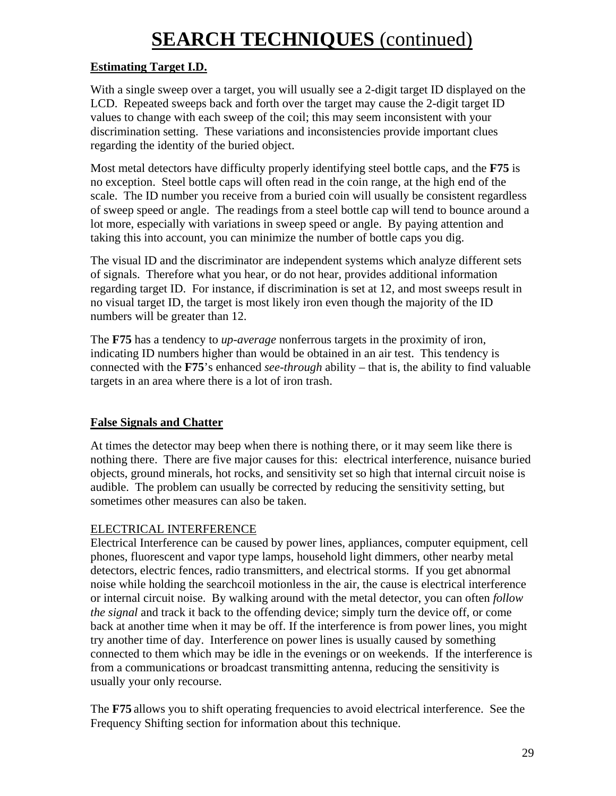#### **Estimating Target I.D.**

With a single sweep over a target, you will usually see a 2-digit target ID displayed on the LCD. Repeated sweeps back and forth over the target may cause the 2-digit target ID values to change with each sweep of the coil; this may seem inconsistent with your discrimination setting. These variations and inconsistencies provide important clues regarding the identity of the buried object.

Most metal detectors have difficulty properly identifying steel bottle caps, and the **F75** is no exception. Steel bottle caps will often read in the coin range, at the high end of the scale. The ID number you receive from a buried coin will usually be consistent regardless of sweep speed or angle. The readings from a steel bottle cap will tend to bounce around a lot more, especially with variations in sweep speed or angle. By paying attention and taking this into account, you can minimize the number of bottle caps you dig.

The visual ID and the discriminator are independent systems which analyze different sets of signals. Therefore what you hear, or do not hear, provides additional information regarding target ID. For instance, if discrimination is set at 12, and most sweeps result in no visual target ID, the target is most likely iron even though the majority of the ID numbers will be greater than 12.

The **F75** has a tendency to *up-average* nonferrous targets in the proximity of iron, indicating ID numbers higher than would be obtained in an air test. This tendency is connected with the **F75**'s enhanced *see-through* ability – that is, the ability to find valuable targets in an area where there is a lot of iron trash.

#### **False Signals and Chatter**

At times the detector may beep when there is nothing there, or it may seem like there is nothing there. There are five major causes for this: electrical interference, nuisance buried objects, ground minerals, hot rocks, and sensitivity set so high that internal circuit noise is audible. The problem can usually be corrected by reducing the sensitivity setting, but sometimes other measures can also be taken.

#### ELECTRICAL INTERFERENCE

Electrical Interference can be caused by power lines, appliances, computer equipment, cell phones, fluorescent and vapor type lamps, household light dimmers, other nearby metal detectors, electric fences, radio transmitters, and electrical storms. If you get abnormal noise while holding the searchcoil motionless in the air, the cause is electrical interference or internal circuit noise. By walking around with the metal detector, you can often *follow the signal* and track it back to the offending device; simply turn the device off, or come back at another time when it may be off. If the interference is from power lines, you might try another time of day. Interference on power lines is usually caused by something connected to them which may be idle in the evenings or on weekends. If the interference is from a communications or broadcast transmitting antenna, reducing the sensitivity is usually your only recourse.

The **F75** allows you to shift operating frequencies to avoid electrical interference. See the Frequency Shifting section for information about this technique.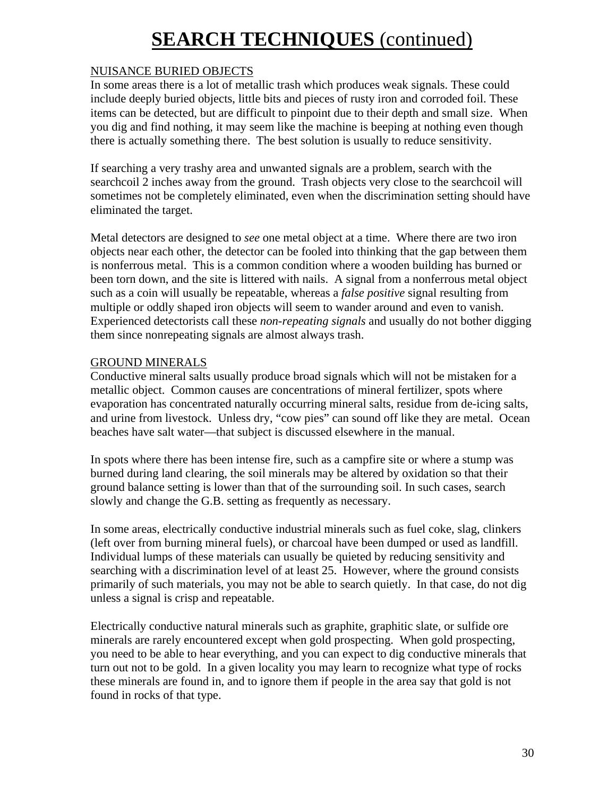#### NUISANCE BURIED OBJECTS

In some areas there is a lot of metallic trash which produces weak signals. These could include deeply buried objects, little bits and pieces of rusty iron and corroded foil. These items can be detected, but are difficult to pinpoint due to their depth and small size. When you dig and find nothing, it may seem like the machine is beeping at nothing even though there is actually something there. The best solution is usually to reduce sensitivity.

If searching a very trashy area and unwanted signals are a problem, search with the searchcoil 2 inches away from the ground. Trash objects very close to the searchcoil will sometimes not be completely eliminated, even when the discrimination setting should have eliminated the target.

Metal detectors are designed to *see* one metal object at a time. Where there are two iron objects near each other, the detector can be fooled into thinking that the gap between them is nonferrous metal. This is a common condition where a wooden building has burned or been torn down, and the site is littered with nails. A signal from a nonferrous metal object such as a coin will usually be repeatable, whereas a *false positive* signal resulting from multiple or oddly shaped iron objects will seem to wander around and even to vanish. Experienced detectorists call these *non-repeating signals* and usually do not bother digging them since nonrepeating signals are almost always trash.

#### GROUND MINERALS

Conductive mineral salts usually produce broad signals which will not be mistaken for a metallic object. Common causes are concentrations of mineral fertilizer, spots where evaporation has concentrated naturally occurring mineral salts, residue from de-icing salts, and urine from livestock. Unless dry, "cow pies" can sound off like they are metal. Ocean beaches have salt water—that subject is discussed elsewhere in the manual.

In spots where there has been intense fire, such as a campfire site or where a stump was burned during land clearing, the soil minerals may be altered by oxidation so that their ground balance setting is lower than that of the surrounding soil. In such cases, search slowly and change the G.B. setting as frequently as necessary.

In some areas, electrically conductive industrial minerals such as fuel coke, slag, clinkers (left over from burning mineral fuels), or charcoal have been dumped or used as landfill. Individual lumps of these materials can usually be quieted by reducing sensitivity and searching with a discrimination level of at least 25. However, where the ground consists primarily of such materials, you may not be able to search quietly. In that case, do not dig unless a signal is crisp and repeatable.

Electrically conductive natural minerals such as graphite, graphitic slate, or sulfide ore minerals are rarely encountered except when gold prospecting. When gold prospecting, you need to be able to hear everything, and you can expect to dig conductive minerals that turn out not to be gold. In a given locality you may learn to recognize what type of rocks these minerals are found in, and to ignore them if people in the area say that gold is not found in rocks of that type.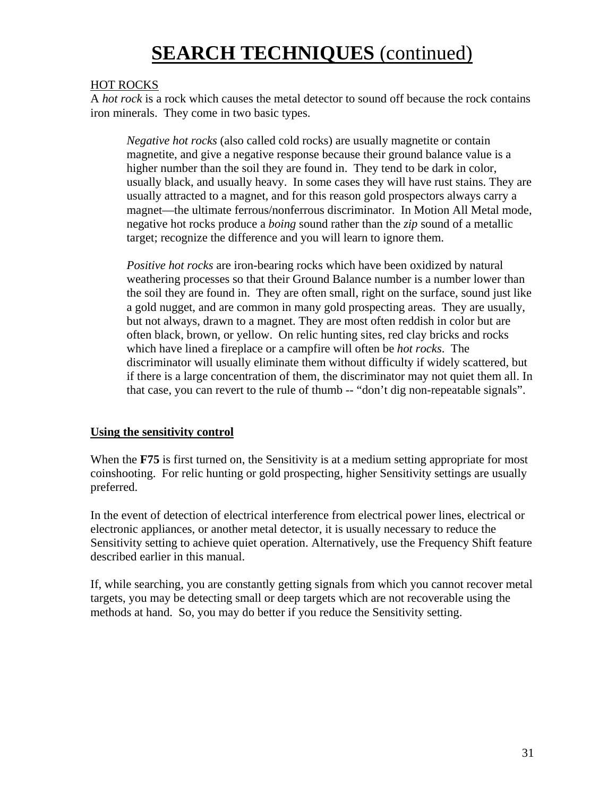#### HOT ROCKS

A *hot rock* is a rock which causes the metal detector to sound off because the rock contains iron minerals. They come in two basic types.

*Negative hot rocks* (also called cold rocks) are usually magnetite or contain magnetite, and give a negative response because their ground balance value is a higher number than the soil they are found in. They tend to be dark in color, usually black, and usually heavy. In some cases they will have rust stains. They are usually attracted to a magnet, and for this reason gold prospectors always carry a magnet—the ultimate ferrous/nonferrous discriminator. In Motion All Metal mode, negative hot rocks produce a *boing* sound rather than the *zip* sound of a metallic target; recognize the difference and you will learn to ignore them.

*Positive hot rocks* are iron-bearing rocks which have been oxidized by natural weathering processes so that their Ground Balance number is a number lower than the soil they are found in. They are often small, right on the surface, sound just like a gold nugget, and are common in many gold prospecting areas. They are usually, but not always, drawn to a magnet. They are most often reddish in color but are often black, brown, or yellow. On relic hunting sites, red clay bricks and rocks which have lined a fireplace or a campfire will often be *hot rocks*. The discriminator will usually eliminate them without difficulty if widely scattered, but if there is a large concentration of them, the discriminator may not quiet them all. In that case, you can revert to the rule of thumb -- "don't dig non-repeatable signals".

#### **Using the sensitivity control**

When the **F75** is first turned on, the Sensitivity is at a medium setting appropriate for most coinshooting. For relic hunting or gold prospecting, higher Sensitivity settings are usually preferred.

In the event of detection of electrical interference from electrical power lines, electrical or electronic appliances, or another metal detector, it is usually necessary to reduce the Sensitivity setting to achieve quiet operation. Alternatively, use the Frequency Shift feature described earlier in this manual.

If, while searching, you are constantly getting signals from which you cannot recover metal targets, you may be detecting small or deep targets which are not recoverable using the methods at hand. So, you may do better if you reduce the Sensitivity setting.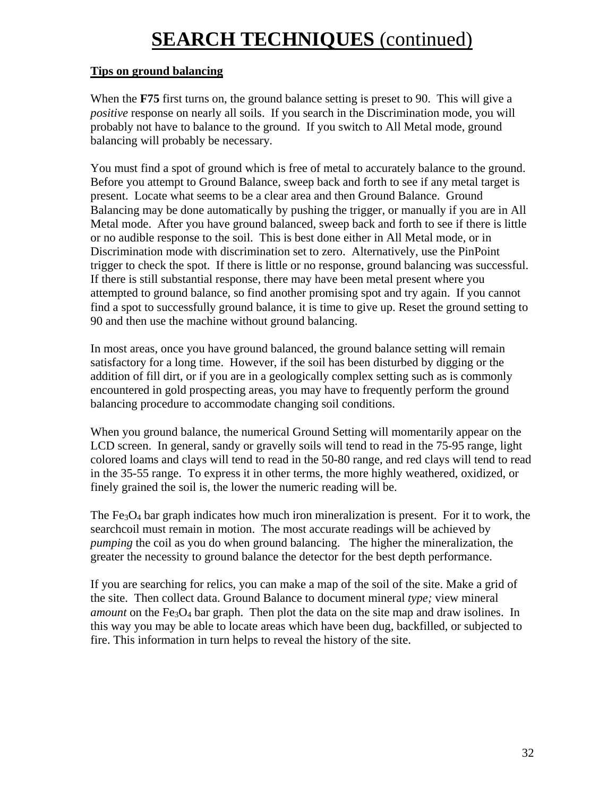#### **Tips on ground balancing**

When the **F75** first turns on, the ground balance setting is preset to 90. This will give a *positive* response on nearly all soils. If you search in the Discrimination mode, you will probably not have to balance to the ground. If you switch to All Metal mode, ground balancing will probably be necessary.

You must find a spot of ground which is free of metal to accurately balance to the ground. Before you attempt to Ground Balance, sweep back and forth to see if any metal target is present. Locate what seems to be a clear area and then Ground Balance. Ground Balancing may be done automatically by pushing the trigger, or manually if you are in All Metal mode. After you have ground balanced, sweep back and forth to see if there is little or no audible response to the soil. This is best done either in All Metal mode, or in Discrimination mode with discrimination set to zero. Alternatively, use the PinPoint trigger to check the spot. If there is little or no response, ground balancing was successful. If there is still substantial response, there may have been metal present where you attempted to ground balance, so find another promising spot and try again. If you cannot find a spot to successfully ground balance, it is time to give up. Reset the ground setting to 90 and then use the machine without ground balancing.

In most areas, once you have ground balanced, the ground balance setting will remain satisfactory for a long time. However, if the soil has been disturbed by digging or the addition of fill dirt, or if you are in a geologically complex setting such as is commonly encountered in gold prospecting areas, you may have to frequently perform the ground balancing procedure to accommodate changing soil conditions.

When you ground balance, the numerical Ground Setting will momentarily appear on the LCD screen. In general, sandy or gravelly soils will tend to read in the 75-95 range, light colored loams and clays will tend to read in the 50-80 range, and red clays will tend to read in the 35-55 range. To express it in other terms, the more highly weathered, oxidized, or finely grained the soil is, the lower the numeric reading will be.

The Fe<sub>3</sub>O<sub>4</sub> bar graph indicates how much iron mineralization is present. For it to work, the searchcoil must remain in motion. The most accurate readings will be achieved by *pumping* the coil as you do when ground balancing. The higher the mineralization, the greater the necessity to ground balance the detector for the best depth performance.

If you are searching for relics, you can make a map of the soil of the site. Make a grid of the site. Then collect data. Ground Balance to document mineral *type;* view mineral *amount* on the  $Fe<sub>3</sub>O<sub>4</sub>$  bar graph. Then plot the data on the site map and draw isolines. In this way you may be able to locate areas which have been dug, backfilled, or subjected to fire. This information in turn helps to reveal the history of the site.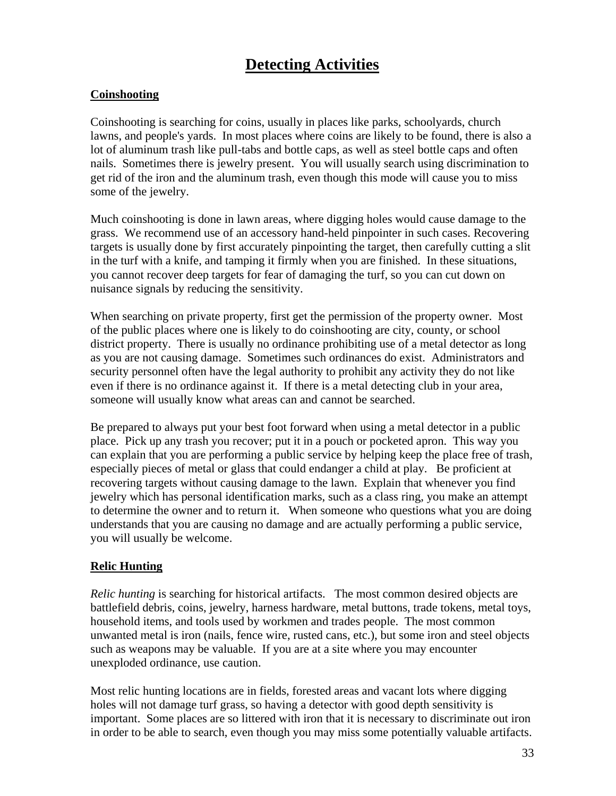### **Detecting Activities**

#### **Coinshooting**

Coinshooting is searching for coins, usually in places like parks, schoolyards, church lawns, and people's yards. In most places where coins are likely to be found, there is also a lot of aluminum trash like pull-tabs and bottle caps, as well as steel bottle caps and often nails. Sometimes there is jewelry present. You will usually search using discrimination to get rid of the iron and the aluminum trash, even though this mode will cause you to miss some of the jewelry.

Much coinshooting is done in lawn areas, where digging holes would cause damage to the grass. We recommend use of an accessory hand-held pinpointer in such cases. Recovering targets is usually done by first accurately pinpointing the target, then carefully cutting a slit in the turf with a knife, and tamping it firmly when you are finished. In these situations, you cannot recover deep targets for fear of damaging the turf, so you can cut down on nuisance signals by reducing the sensitivity.

When searching on private property, first get the permission of the property owner. Most of the public places where one is likely to do coinshooting are city, county, or school district property. There is usually no ordinance prohibiting use of a metal detector as long as you are not causing damage. Sometimes such ordinances do exist. Administrators and security personnel often have the legal authority to prohibit any activity they do not like even if there is no ordinance against it. If there is a metal detecting club in your area, someone will usually know what areas can and cannot be searched.

Be prepared to always put your best foot forward when using a metal detector in a public place. Pick up any trash you recover; put it in a pouch or pocketed apron. This way you can explain that you are performing a public service by helping keep the place free of trash, especially pieces of metal or glass that could endanger a child at play. Be proficient at recovering targets without causing damage to the lawn. Explain that whenever you find jewelry which has personal identification marks, such as a class ring, you make an attempt to determine the owner and to return it. When someone who questions what you are doing understands that you are causing no damage and are actually performing a public service, you will usually be welcome.

#### **Relic Hunting**

*Relic hunting* is searching for historical artifacts. The most common desired objects are battlefield debris, coins, jewelry, harness hardware, metal buttons, trade tokens, metal toys, household items, and tools used by workmen and trades people. The most common unwanted metal is iron (nails, fence wire, rusted cans, etc.), but some iron and steel objects such as weapons may be valuable. If you are at a site where you may encounter unexploded ordinance, use caution.

Most relic hunting locations are in fields, forested areas and vacant lots where digging holes will not damage turf grass, so having a detector with good depth sensitivity is important. Some places are so littered with iron that it is necessary to discriminate out iron in order to be able to search, even though you may miss some potentially valuable artifacts.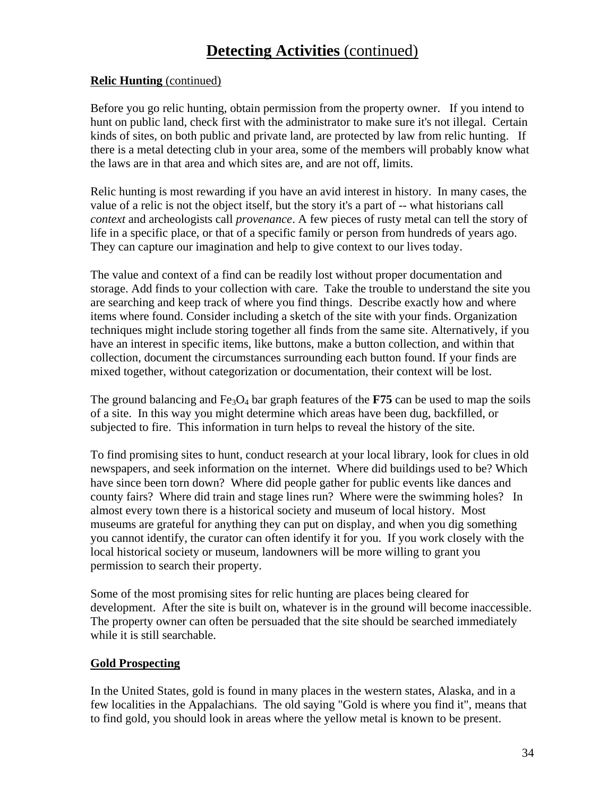### **Detecting Activities** (continued)

#### **Relic Hunting** (continued)

Before you go relic hunting, obtain permission from the property owner. If you intend to hunt on public land, check first with the administrator to make sure it's not illegal. Certain kinds of sites, on both public and private land, are protected by law from relic hunting. If there is a metal detecting club in your area, some of the members will probably know what the laws are in that area and which sites are, and are not off, limits.

Relic hunting is most rewarding if you have an avid interest in history. In many cases, the value of a relic is not the object itself, but the story it's a part of -- what historians call *context* and archeologists call *provenance*. A few pieces of rusty metal can tell the story of life in a specific place, or that of a specific family or person from hundreds of years ago. They can capture our imagination and help to give context to our lives today.

The value and context of a find can be readily lost without proper documentation and storage. Add finds to your collection with care. Take the trouble to understand the site you are searching and keep track of where you find things. Describe exactly how and where items where found. Consider including a sketch of the site with your finds. Organization techniques might include storing together all finds from the same site. Alternatively, if you have an interest in specific items, like buttons, make a button collection, and within that collection, document the circumstances surrounding each button found. If your finds are mixed together, without categorization or documentation, their context will be lost.

The ground balancing and  $Fe<sub>3</sub>O<sub>4</sub>$  bar graph features of the **F75** can be used to map the soils of a site. In this way you might determine which areas have been dug, backfilled, or subjected to fire. This information in turn helps to reveal the history of the site.

To find promising sites to hunt, conduct research at your local library, look for clues in old newspapers, and seek information on the internet. Where did buildings used to be? Which have since been torn down? Where did people gather for public events like dances and county fairs? Where did train and stage lines run? Where were the swimming holes? In almost every town there is a historical society and museum of local history. Most museums are grateful for anything they can put on display, and when you dig something you cannot identify, the curator can often identify it for you. If you work closely with the local historical society or museum, landowners will be more willing to grant you permission to search their property.

Some of the most promising sites for relic hunting are places being cleared for development. After the site is built on, whatever is in the ground will become inaccessible. The property owner can often be persuaded that the site should be searched immediately while it is still searchable.

#### **Gold Prospecting**

In the United States, gold is found in many places in the western states, Alaska, and in a few localities in the Appalachians. The old saying "Gold is where you find it", means that to find gold, you should look in areas where the yellow metal is known to be present.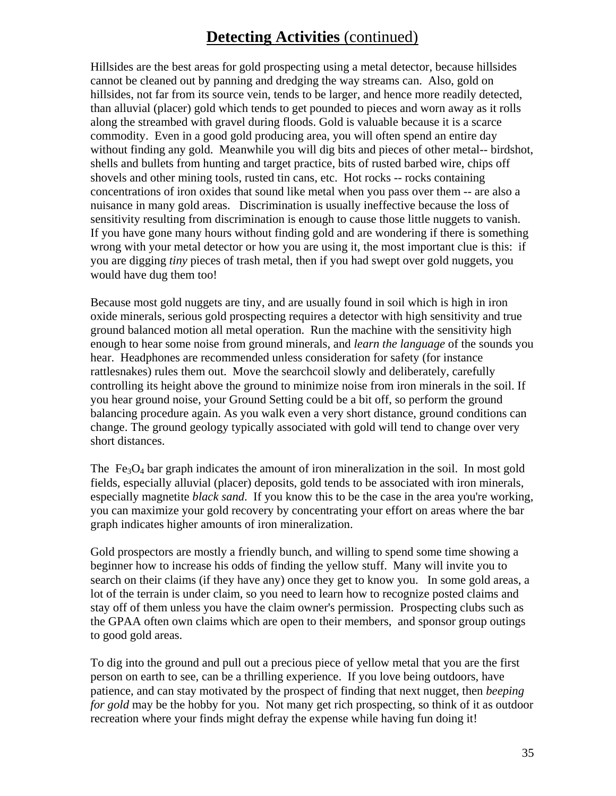### **Detecting Activities** (continued)

Hillsides are the best areas for gold prospecting using a metal detector, because hillsides cannot be cleaned out by panning and dredging the way streams can. Also, gold on hillsides, not far from its source vein, tends to be larger, and hence more readily detected, than alluvial (placer) gold which tends to get pounded to pieces and worn away as it rolls along the streambed with gravel during floods. Gold is valuable because it is a scarce commodity. Even in a good gold producing area, you will often spend an entire day without finding any gold. Meanwhile you will dig bits and pieces of other metal-- birdshot, shells and bullets from hunting and target practice, bits of rusted barbed wire, chips off shovels and other mining tools, rusted tin cans, etc. Hot rocks -- rocks containing concentrations of iron oxides that sound like metal when you pass over them -- are also a nuisance in many gold areas. Discrimination is usually ineffective because the loss of sensitivity resulting from discrimination is enough to cause those little nuggets to vanish. If you have gone many hours without finding gold and are wondering if there is something wrong with your metal detector or how you are using it, the most important clue is this: if you are digging *tiny* pieces of trash metal, then if you had swept over gold nuggets, you would have dug them too!

Because most gold nuggets are tiny, and are usually found in soil which is high in iron oxide minerals, serious gold prospecting requires a detector with high sensitivity and true ground balanced motion all metal operation. Run the machine with the sensitivity high enough to hear some noise from ground minerals, and *learn the language* of the sounds you hear. Headphones are recommended unless consideration for safety (for instance rattlesnakes) rules them out. Move the searchcoil slowly and deliberately, carefully controlling its height above the ground to minimize noise from iron minerals in the soil. If you hear ground noise, your Ground Setting could be a bit off, so perform the ground balancing procedure again. As you walk even a very short distance, ground conditions can change. The ground geology typically associated with gold will tend to change over very short distances.

The  $Fe<sub>3</sub>O<sub>4</sub>$  bar graph indicates the amount of iron mineralization in the soil. In most gold fields, especially alluvial (placer) deposits, gold tends to be associated with iron minerals, especially magnetite *black sand*. If you know this to be the case in the area you're working, you can maximize your gold recovery by concentrating your effort on areas where the bar graph indicates higher amounts of iron mineralization.

Gold prospectors are mostly a friendly bunch, and willing to spend some time showing a beginner how to increase his odds of finding the yellow stuff. Many will invite you to search on their claims (if they have any) once they get to know you. In some gold areas, a lot of the terrain is under claim, so you need to learn how to recognize posted claims and stay off of them unless you have the claim owner's permission. Prospecting clubs such as the GPAA often own claims which are open to their members, and sponsor group outings to good gold areas.

To dig into the ground and pull out a precious piece of yellow metal that you are the first person on earth to see, can be a thrilling experience. If you love being outdoors, have patience, and can stay motivated by the prospect of finding that next nugget, then *beeping for gold* may be the hobby for you. Not many get rich prospecting, so think of it as outdoor recreation where your finds might defray the expense while having fun doing it!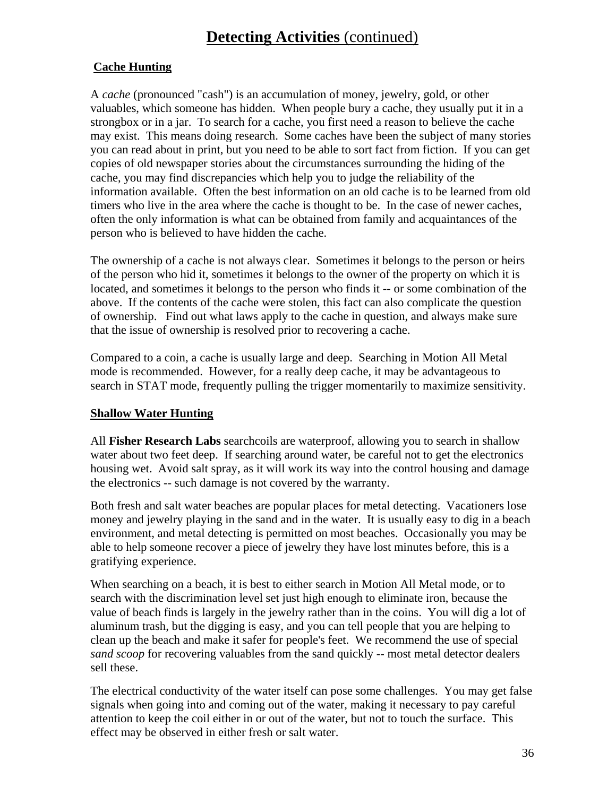### **Detecting Activities** (continued)

#### **Cache Hunting**

A *cache* (pronounced "cash") is an accumulation of money, jewelry, gold, or other valuables, which someone has hidden. When people bury a cache, they usually put it in a strongbox or in a jar. To search for a cache, you first need a reason to believe the cache may exist. This means doing research. Some caches have been the subject of many stories you can read about in print, but you need to be able to sort fact from fiction. If you can get copies of old newspaper stories about the circumstances surrounding the hiding of the cache, you may find discrepancies which help you to judge the reliability of the information available. Often the best information on an old cache is to be learned from old timers who live in the area where the cache is thought to be. In the case of newer caches, often the only information is what can be obtained from family and acquaintances of the person who is believed to have hidden the cache.

The ownership of a cache is not always clear. Sometimes it belongs to the person or heirs of the person who hid it, sometimes it belongs to the owner of the property on which it is located, and sometimes it belongs to the person who finds it -- or some combination of the above. If the contents of the cache were stolen, this fact can also complicate the question of ownership. Find out what laws apply to the cache in question, and always make sure that the issue of ownership is resolved prior to recovering a cache.

Compared to a coin, a cache is usually large and deep. Searching in Motion All Metal mode is recommended. However, for a really deep cache, it may be advantageous to search in STAT mode, frequently pulling the trigger momentarily to maximize sensitivity.

#### **Shallow Water Hunting**

All **Fisher Research Labs** searchcoils are waterproof, allowing you to search in shallow water about two feet deep. If searching around water, be careful not to get the electronics housing wet. Avoid salt spray, as it will work its way into the control housing and damage the electronics -- such damage is not covered by the warranty.

Both fresh and salt water beaches are popular places for metal detecting. Vacationers lose money and jewelry playing in the sand and in the water. It is usually easy to dig in a beach environment, and metal detecting is permitted on most beaches. Occasionally you may be able to help someone recover a piece of jewelry they have lost minutes before, this is a gratifying experience.

When searching on a beach, it is best to either search in Motion All Metal mode, or to search with the discrimination level set just high enough to eliminate iron, because the value of beach finds is largely in the jewelry rather than in the coins. You will dig a lot of aluminum trash, but the digging is easy, and you can tell people that you are helping to clean up the beach and make it safer for people's feet. We recommend the use of special *sand scoop* for recovering valuables from the sand quickly -- most metal detector dealers sell these.

The electrical conductivity of the water itself can pose some challenges. You may get false signals when going into and coming out of the water, making it necessary to pay careful attention to keep the coil either in or out of the water, but not to touch the surface. This effect may be observed in either fresh or salt water.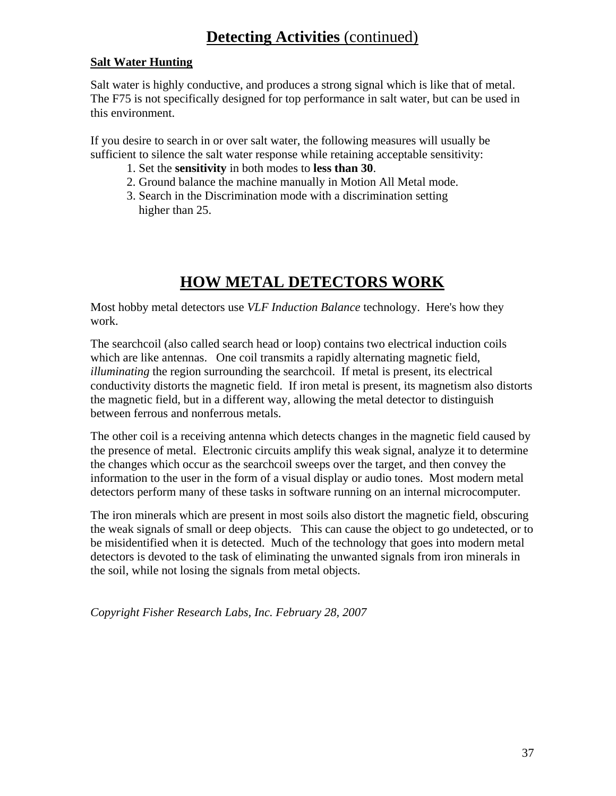#### **Salt Water Hunting**

Salt water is highly conductive, and produces a strong signal which is like that of metal. The F75 is not specifically designed for top performance in salt water, but can be used in this environment.

If you desire to search in or over salt water, the following measures will usually be sufficient to silence the salt water response while retaining acceptable sensitivity:

- 1. Set the **sensitivity** in both modes to **less than 30**.
- 2. Ground balance the machine manually in Motion All Metal mode.
- 3. Search in the Discrimination mode with a discrimination setting higher than 25.

### **HOW METAL DETECTORS WORK**

Most hobby metal detectors use *VLF Induction Balance* technology. Here's how they work.

The searchcoil (also called search head or loop) contains two electrical induction coils which are like antennas. One coil transmits a rapidly alternating magnetic field, *illuminating* the region surrounding the searchcoil. If metal is present, its electrical conductivity distorts the magnetic field. If iron metal is present, its magnetism also distorts the magnetic field, but in a different way, allowing the metal detector to distinguish between ferrous and nonferrous metals.

The other coil is a receiving antenna which detects changes in the magnetic field caused by the presence of metal. Electronic circuits amplify this weak signal, analyze it to determine the changes which occur as the searchcoil sweeps over the target, and then convey the information to the user in the form of a visual display or audio tones. Most modern metal detectors perform many of these tasks in software running on an internal microcomputer.

The iron minerals which are present in most soils also distort the magnetic field, obscuring the weak signals of small or deep objects. This can cause the object to go undetected, or to be misidentified when it is detected. Much of the technology that goes into modern metal detectors is devoted to the task of eliminating the unwanted signals from iron minerals in the soil, while not losing the signals from metal objects.

*Copyright Fisher Research Labs, Inc. February 28, 2007*